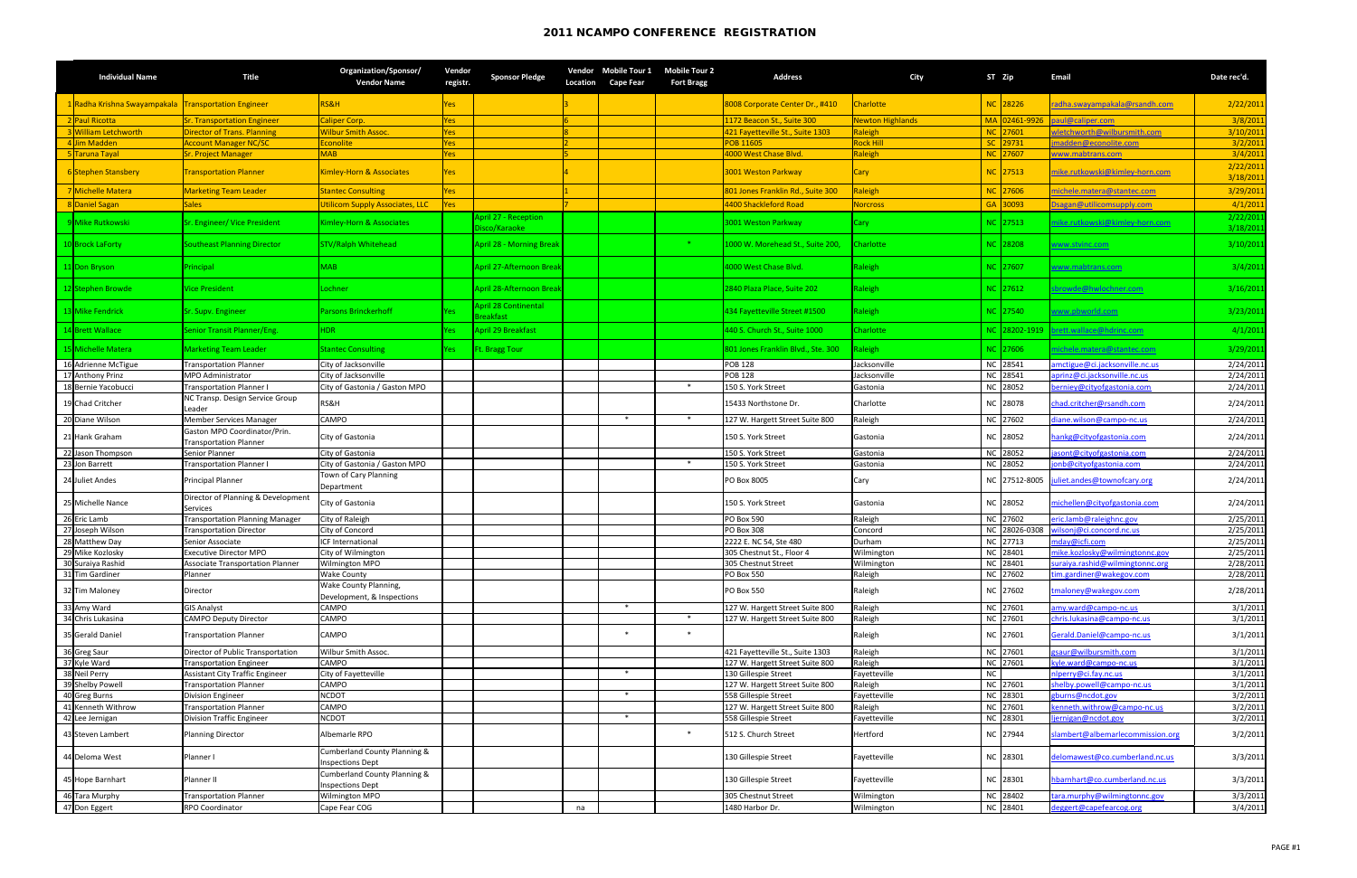| <b>Individual Name</b>                                 | <b>Title</b>                                                  | Organization/Sponsor/<br><b>Vendor Name</b>             | Vendor<br>registr. | <b>Sponsor Pledge</b>             | Location | Vendor Mobile Tour 1<br><b>Cape Fear</b> | <b>Mobile Tour 2</b><br><b>Fort Bragg</b> | <b>Address</b>                               | <b>City</b>              | ST Zip               | <b>Email</b>                                           | Date rec'd.            |
|--------------------------------------------------------|---------------------------------------------------------------|---------------------------------------------------------|--------------------|-----------------------------------|----------|------------------------------------------|-------------------------------------------|----------------------------------------------|--------------------------|----------------------|--------------------------------------------------------|------------------------|
| 1 Radha Krishna Swayampakala   Transportation Engineer |                                                               | RS&H                                                    | Yes                |                                   |          |                                          |                                           | 8008 Corporate Center Dr., #410              | <b>Charlotte</b>         | NC 28226             | radha.swayampakala@rsandh.com                          | 2/22/2011              |
| 2 Paul Ricotta                                         | <b>Sr. Transportation Engineer</b>                            | Caliper Corp.                                           | Yes                |                                   |          |                                          |                                           | 1172 Beacon St., Suite 300                   | <b>Newton Highlands</b>  | MA 02461-9926        | aul@caliper.com                                        | 3/8/2011               |
| 3 William Letchworth                                   | <b>Director of Trans. Planning</b>                            | <b>Wilbur Smith Assoc.</b>                              | Yes                |                                   |          |                                          |                                           | 421 Fayetteville St., Suite 1303             | Raleigh                  | NC 27601             | vletchworth@wilbursmith.com                            | 3/10/2011              |
| 4Jim Madden                                            | <b>Account Manager NC/SC</b>                                  | Econolite                                               | Yes                |                                   |          |                                          |                                           | POB 11605                                    | <b>Rock Hill</b>         | SC 29731             | madden@econolite.com                                   | 3/2/2011               |
| 5Taruna Tayal                                          | <b>Sr. Project Manager</b>                                    | MAB                                                     | Yes                |                                   |          |                                          |                                           | 4000 West Chase Blvd.                        | Raleigh                  | NC 27607             | www.mabtrans.com                                       | 3/4/2011               |
| 6 Stephen Stansbery                                    | <b>Transportation Planner</b>                                 | Kimley-Horn & Associates                                | Yes                |                                   |          |                                          |                                           | <b>3001 Weston Parkway</b>                   | Cary                     | NC 27513             | mike.rutkowski@kimley-horn.com                         | 2/22/2011<br>3/18/2011 |
| 7 Michelle Matera                                      | <b>Marketing Team Leader</b>                                  | <b>Stantec Consulting</b>                               | Yes                |                                   |          |                                          |                                           | 801 Jones Franklin Rd., Suite 300            | Raleigh                  | NC 27606             | michele.matera@stantec.com                             | 3/29/2011              |
| 8 Daniel Sagan                                         | Sales                                                         | <b>Jtilicom Supply Associates, LLC</b>                  | Yes                |                                   |          |                                          |                                           | 4400 Shackleford Road                        | <b>Norcross</b>          | GA 30093             | Dsagan@utilicomsupply.com                              | 4/1/2011               |
|                                                        |                                                               |                                                         |                    | April 27 - Reception              |          |                                          |                                           |                                              |                          |                      |                                                        | 2/22/2011              |
| 9 Mike Rutkowski                                       | Sr. Engineer/ Vice President                                  | Kimley-Horn & Associates                                |                    | Disco/Karaoke                     |          |                                          |                                           | 3001 Weston Parkway                          | Cary                     | NC 27513             | mike.rutkowski@kimley-horn.com                         | 3/18/2011              |
| 10 Brock LaForty                                       | <b>Southeast Planning Director</b>                            | STV/Ralph Whitehead                                     |                    | <b>April 28 - Morning Break</b>   |          |                                          | $*$                                       | 1000 W. Morehead St., Suite 200,             | <b>Charlotte</b>         | NC 28208             | www.stvinc.com                                         | 3/10/2011              |
| 11 Don Bryson                                          | Principal                                                     | MAB                                                     |                    | April 27-Afternoon Break          |          |                                          |                                           | 4000 West Chase Blvd.                        | Raleigh                  | NC 27607             | www.mabtrans.com                                       | 3/4/2011               |
| 12 Stephen Browde                                      | <b>Vice President</b>                                         | Lochner                                                 |                    | April 28-Afternoon Break          |          |                                          |                                           | 2840 Plaza Place, Suite 202                  | Raleigh                  | NC 27612             | sbrowde@hwlochner.com                                  | 3/16/2011              |
| 13 Mike Fendrick                                       | Sr. Supv. Engineer                                            | Parsons Brinckerhoff                                    | Yes :              | April 28 Continental<br>Breakfast |          |                                          |                                           | 434 Fayetteville Street #1500                | Raleigh                  | NC 27540             | www.pbworld.com                                        | 3/23/2011              |
| 14 Brett Wallace                                       | <b>Senior Transit Planner/Eng.</b>                            | HDR                                                     | Yes i              | April 29 Breakfast                |          |                                          |                                           | 440 S. Church St., Suite 1000                | <b>Charlotte</b>         |                      | NC 28202-1919 brett.wallace@hdrinc.com                 | 4/1/2011               |
| 15 Michelle Matera                                     | <b>Marketing Team Leader</b>                                  | <b>Stantec Consulting</b>                               | Yes i              | <b>Ft. Bragg Tour</b>             |          |                                          |                                           | 801 Jones Franklin Blvd., Ste. 300           | Raleigh                  | NC 27606             | michele.matera@stantec.com                             | 3/29/2011              |
| 16 Adrienne McTigue                                    | <b>Transportation Planner</b>                                 | City of Jacksonville                                    |                    |                                   |          |                                          |                                           | <b>POB 128</b>                               | Jacksonville             | NC 28541             | amctigue@ci.jacksonville.nc.us                         | 2/24/2011              |
| 17 Anthony Prinz                                       | <b>MPO Administrator</b>                                      | City of Jacksonville                                    |                    |                                   |          |                                          |                                           | <b>POB 128</b>                               | Jacksonville             | NC 28541             | aprinz@ci.jacksonville.nc.us                           | 2/24/2011              |
| 18 Bernie Yacobucci                                    | <b>Transportation Planner I</b>                               | City of Gastonia / Gaston MPO                           |                    |                                   |          |                                          | $*$                                       | 150 S. York Street                           | Gastonia                 | NC 28052             | berniey@cityofgastonia.com                             | 2/24/2011              |
| 19 Chad Critcher                                       | NC Transp. Design Service Group<br>Leader                     | RS&H                                                    |                    |                                   |          |                                          |                                           | 15433 Northstone Dr.                         | Charlotte                | NC 28078             | chad.critcher@rsandh.com                               | 2/24/2011              |
| 20 Diane Wilson                                        | Member Services Manager                                       | <b>CAMPO</b>                                            |                    |                                   |          |                                          | $\ast$                                    | 127 W. Hargett Street Suite 800              | Raleigh                  | NC 27602             | diane.wilson@campo-nc.us                               | 2/24/2011              |
| 21 Hank Graham                                         | Gaston MPO Coordinator/Prin.<br><b>Transportation Planner</b> | City of Gastonia                                        |                    |                                   |          |                                          |                                           | 150 S. York Street                           | Gastonia                 | NC 28052             | hankg@cityofgastonia.com                               | 2/24/2011              |
| 22 Jason Thompson                                      | Senior Planner                                                | City of Gastonia                                        |                    |                                   |          |                                          |                                           | 150 S. York Street                           | Gastonia                 | NC 28052             | asont@cityofgastonia.com                               | 2/24/2011              |
| 23 Jon Barrett                                         | <b>Transportation Planner I</b>                               | City of Gastonia / Gaston MPO                           |                    |                                   |          |                                          | $*$                                       | 150 S. York Street                           | Gastonia                 | NC 28052             | jonb@cityofgastonia.com                                | 2/24/2011              |
| 24 Juliet Andes                                        | <b>Principal Planner</b>                                      | Town of Cary Planning<br>Department                     |                    |                                   |          |                                          |                                           | PO Box 8005                                  | Cary                     |                      | NC 27512-8005 juliet.andes@townofcary.org              | 2/24/2011              |
| 25 Michelle Nance                                      | Director of Planning & Development<br><b>Services</b>         | City of Gastonia                                        |                    |                                   |          |                                          |                                           | 150 S. York Street                           | Gastonia                 | NC 28052             | michellen@cityofgastonia.com                           | 2/24/2011              |
| 26 Eric Lamb                                           | <b>Transportation Planning Manager</b>                        | City of Raleigh                                         |                    |                                   |          |                                          |                                           | <b>PO Box 590</b>                            | Raleigh                  | NC 27602             | eric.lamb@raleighnc.gov                                | 2/25/2011              |
| 27 Joseph Wilson                                       | <b>Transportation Director</b>                                | City of Concord                                         |                    |                                   |          |                                          |                                           | <b>PO Box 308</b>                            | Concord                  | NC 28026-0308        | wilsonj@ci.concord.nc.us                               | 2/25/2011              |
| 28 Matthew Day                                         | Senior Associate                                              | <b>ICF International</b>                                |                    |                                   |          |                                          |                                           | 2222 E. NC 54, Ste 480                       | Durham                   | NC 27713             | nday@icfi.com                                          | 2/25/2011              |
| 29 Mike Kozlosky                                       | <b>Executive Director MPO</b>                                 | City of Wilmington                                      |                    |                                   |          |                                          |                                           | 305 Chestnut St., Floor 4                    | Wilmington               | NC 28401             | mike.kozlosky@wilmingtonnc.gov                         | 2/25/2011              |
| 30 Suraiya Rashid                                      | <b>Associate Transportation Planner</b>                       | Wilmington MPO                                          |                    |                                   |          |                                          |                                           | 305 Chestnut Street                          | Wilmington               | NC 28401             | suraiya.rashid@wilmingtonnc.org                        | 2/28/2011              |
| 31 Tim Gardiner                                        | Planner                                                       | Wake County                                             |                    |                                   |          |                                          |                                           | <b>PO Box 550</b>                            | Raleigh                  | NC 27602             | im.gardiner@wakegov.com                                | 2/28/2011              |
| 32 Tim Maloney                                         | Director                                                      | Wake County Planning,<br>Development, & Inspections     |                    |                                   |          |                                          |                                           | PO Box 550                                   | Raleigh                  | NC 27602             | tmaloney@wakegov.com                                   | 2/28/2011              |
| 33 Amy Ward                                            | <b>GIS Analyst</b>                                            | CAMPO                                                   |                    |                                   |          | $\ast$                                   |                                           | 127 W. Hargett Street Suite 800              | Raleigh                  | NC 27601             | amy.ward@campo-nc.us                                   | 3/1/2011               |
| 34 Chris Lukasina                                      | <b>CAMPO Deputy Director</b>                                  | CAMPO                                                   |                    |                                   |          |                                          | $\ast$                                    | 127 W. Hargett Street Suite 800              | Raleigh                  | NC 27601             | chris.lukasina@campo-nc.us                             | 3/1/2011               |
| 35 Gerald Daniel                                       | <b>Transportation Planner</b>                                 | CAMPO                                                   |                    |                                   |          | ∗                                        | $\ast$                                    |                                              | Raleigh                  | NC 27601             | Gerald.Daniel@campo-nc.us                              | 3/1/2011               |
| 36 Greg Saur                                           | Director of Public Transportation                             | Wilbur Smith Assoc.                                     |                    |                                   |          |                                          |                                           | 421 Fayetteville St., Suite 1303             | Raleigh                  | NC 27601             | gsaur@wilbursmith.com                                  | 3/1/2011               |
| 37 Kyle Ward                                           | <b>Transportation Engineer</b>                                | CAMPO                                                   |                    |                                   |          |                                          |                                           | 127 W. Hargett Street Suite 800              | Raleigh                  | NC 27601             | kyle.ward@campo-nc.us                                  | 3/1/2011               |
| 38 Neil Perry                                          | Assistant City Traffic Engineer                               | City of Fayetteville                                    |                    |                                   |          | $\ast$                                   |                                           | 130 Gillespie Street                         | Fayetteville             |                      | nlperry@ci.fay.nc.us                                   | 3/1/2011               |
| 39 Shelby Powell                                       | <b>Transportation Planner</b>                                 | <b>CAMPO</b>                                            |                    |                                   |          | $\ast$                                   |                                           | 127 W. Hargett Street Suite 800              | Raleigh                  | NC 27601             | shelby.powell@campo-nc.us                              | 3/1/2011               |
| 40 Greg Burns                                          | <b>Division Engineer</b>                                      | <b>NCDOT</b>                                            |                    |                                   |          |                                          |                                           | 558 Gillespie Street                         | Fayetteville             | NC 28301             | gburns@ncdot.gov                                       | 3/2/2011               |
| 41 Kenneth Withrow                                     | <b>Transportation Planner</b>                                 | <b>CAMPO</b>                                            |                    |                                   |          | $\ast$                                   |                                           | 127 W. Hargett Street Suite 800              | Raleigh                  | NC 27601<br>NC 28301 | cenneth.withrow@campo-nc.us                            | 3/2/2011               |
| 42 Lee Jernigan<br>43 Steven Lambert                   | <b>Division Traffic Engineer</b><br><b>Planning Director</b>  | <b>NCDOT</b><br>Albemarle RPO                           |                    |                                   |          |                                          | $\ast$                                    | 558 Gillespie Street<br>512 S. Church Street | Fayetteville<br>Hertford | NC 27944             | jernigan@ncdot.gov<br>slambert@albemarlecommission.org | 3/2/2011<br>3/2/2011   |
| 44 Deloma West                                         | Planner I                                                     | <b>Cumberland County Planning &amp;</b>                 |                    |                                   |          |                                          |                                           | 130 Gillespie Street                         | Fayetteville             | NC 28301             | delomawest@co.cumberland.nc.us                         | 3/3/2011               |
| 45 Hope Barnhart                                       | Planner II                                                    | <b>Inspections Dept</b><br>Cumberland County Planning & |                    |                                   |          |                                          |                                           | 130 Gillespie Street                         | Fayetteville             | NC 28301             | hbarnhart@co.cumberland.nc.us                          | 3/3/2011               |
|                                                        | <b>Transportation Planner</b>                                 | <b>Inspections Dept</b>                                 |                    |                                   |          |                                          |                                           |                                              |                          |                      |                                                        |                        |
| 46 Tara Murphy                                         | <b>RPO Coordinator</b>                                        | <b>Wilmington MPO</b>                                   |                    |                                   |          |                                          |                                           | 305 Chestnut Street                          | Wilmington               | NC 28402<br>NC 28401 | ara.murphy@wilmingtonnc.gov                            | 3/3/2011               |
| 47 Don Eggert                                          |                                                               | Cape Fear COG                                           |                    |                                   | na       |                                          |                                           | 1480 Harbor Dr.                              | Wilmington               |                      | deggert@capefearcog.org                                | 3/4/2011               |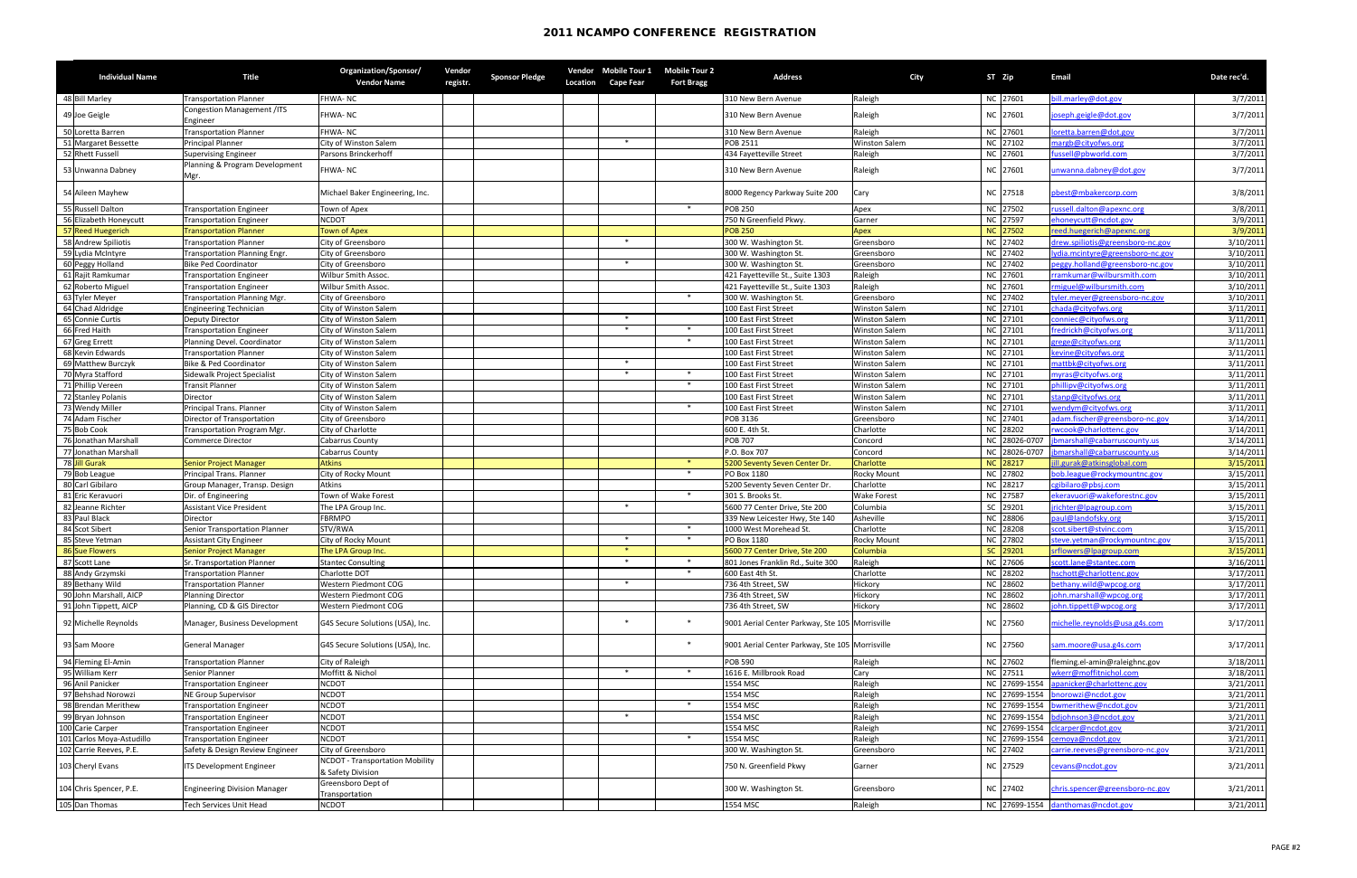|    | <b>Individual Name</b>                | <b>Title</b>                                             | <b>Organization/Sponsor/</b><br><b>Vendor Name</b>   | Vendor<br>registr. | <b>Sponsor Pledge</b> | <b>Location</b> | <b>Cape Fear</b> | Vendor Mobile Tour 1 Mobile Tour 2<br><b>Fort Bragg</b> | <b>Address</b>                                    | <b>City</b>                        | ST Zip |                      | <b>Email</b>                                           | Date rec'd.            |
|----|---------------------------------------|----------------------------------------------------------|------------------------------------------------------|--------------------|-----------------------|-----------------|------------------|---------------------------------------------------------|---------------------------------------------------|------------------------------------|--------|----------------------|--------------------------------------------------------|------------------------|
|    | 48 Bill Marley                        | <b>Transportation Planner</b>                            | FHWA-NC                                              |                    |                       |                 |                  |                                                         | 310 New Bern Avenue                               | Raleigh                            |        | NC 27601             | ill.marley@dot.gov                                     | 3/7/2011               |
|    | 49 Joe Geigle                         | Congestion Management /ITS<br>Engineer                   | FHWA-NC                                              |                    |                       |                 |                  |                                                         | 310 New Bern Avenue                               | Raleigh                            |        | NC 27601             | joseph.geigle@dot.gov                                  | 3/7/2011               |
|    | 50 Loretta Barren                     | <b>Transportation Planner</b>                            | <b>FHWA-NC</b>                                       |                    |                       |                 |                  |                                                         | 310 New Bern Avenue                               | Raleigh                            |        | NC 27601             | oretta.barren@dot.gov                                  | 3/7/2011               |
|    | 51 Margaret Bessette                  | <b>Principal Planner</b>                                 | City of Winston Salem                                |                    |                       |                 | $\ast$           |                                                         | POB 2511                                          | <b>Winston Salem</b>               |        | NC 27102             | nargb@cityofws.org                                     | 3/7/2011               |
|    | 52 Rhett Fussell                      | Supervising Engineer                                     | Parsons Brinckerhoff                                 |                    |                       |                 |                  |                                                         | 434 Fayetteville Street                           | Raleigh                            |        | NC 27601             | ussell@pbworld.com                                     | 3/7/2011               |
|    | 53 Unwanna Dabney                     | Planning & Program Development<br>Mgr.                   | FHWA-NC                                              |                    |                       |                 |                  |                                                         | 310 New Bern Avenue                               | Raleigh                            |        | NC 27601             | unwanna.dabney@dot.gov                                 | 3/7/2011               |
|    | 54 Aileen Mayhew                      |                                                          | Michael Baker Engineering, Inc.                      |                    |                       |                 |                  |                                                         | 8000 Regency Parkway Suite 200                    | Cary                               |        | NC 27518             | pbest@mbakercorp.com                                   | 3/8/2011               |
|    | 55 Russell Dalton                     | <b>Transportation Engineer</b>                           | Town of Apex                                         |                    |                       |                 |                  | $\ast$                                                  | <b>POB 250</b>                                    | Apex                               |        | NC 27502             | ussell.dalton@apexnc.org                               | 3/8/2011               |
|    | Elizabeth Honeycutt                   | Transportation Engineer                                  | <b>NCDOT</b>                                         |                    |                       |                 |                  |                                                         | 750 N Greenfield Pkwy.                            | Garner                             |        | NC 27597             | ehoneycutt@ncdot.gov                                   | 3/9/2011               |
|    | 57 Reed Huegerich                     | <b>Transportation Planner</b>                            | <b>Town of Apex</b>                                  |                    |                       |                 |                  |                                                         | <b>POB 250</b>                                    | Apex                               |        | NC 27502             | eed.huegerich@apexnc.org                               | 3/9/2011               |
|    | <b>Andrew Spiliotis</b>               | <b>Transportation Planner</b>                            | City of Greensboro                                   |                    |                       |                 | $\ast$           |                                                         | 300 W. Washington St.                             | Greensboro                         |        | NC 27402             | rew.spiliotis@greensboro-nc.gov                        | 3/10/2011              |
|    | 59 Lydia McIntyre                     | Transportation Planning Engr.                            | City of Greensboro                                   |                    |                       |                 |                  |                                                         | 300 W. Washington St.                             | Greensboro                         |        | NC 27402             | vdia.mcintyre@greensboro-nc.gov                        | 3/10/2011              |
|    | 60 Peggy Holland                      | <b>Bike Ped Coordinator</b>                              | City of Greensboro                                   |                    |                       |                 | $\ast$           |                                                         | 300 W. Washington St.                             | Greensboro                         |        | NC 27402             | oeggy.holland@greensboro-nc.gov                        | 3/10/2011              |
|    | 61 Rajit Ramkumar                     | <b>Transportation Engineer</b>                           | Wilbur Smith Assoc.                                  |                    |                       |                 |                  |                                                         | 421 Fayetteville St., Suite 1303                  | Raleigh                            |        | NC 27601             | ramkumar@wilbursmith.com                               | 3/10/2011              |
|    | 62 Roberto Miguel<br>63 Tyler Meyer   | <b>Transportation Engineer</b>                           | <b>Wilbur Smith Assoc</b>                            |                    |                       |                 |                  | $*$                                                     | 421 Fayetteville St., Suite 1303                  | Raleigh                            |        | NC 27601<br>NC 27402 | miguel@wilbursmith.com                                 | 3/10/2011              |
|    | 64 Chad Aldridge                      | Transportation Planning Mgr.                             | City of Greensboro<br>City of Winston Salem          |                    |                       |                 |                  |                                                         | 300 W. Washington St.<br>100 East First Street    | Greensboro<br><b>Winston Salem</b> |        | NC 27101             | yler.meyer@greensboro-nc.gov<br>hada@cityofws.org      | 3/10/2011              |
|    | 65 Connie Curtis                      | <b>Engineering Technician</b><br>Deputy Director         | City of Winston Salem                                |                    |                       |                 | $\ast$           |                                                         | 100 East First Street                             | <b>Winston Salem</b>               |        | NC 27101             | conniec@cityofws.org                                   | 3/11/2011<br>3/11/2011 |
| 66 | Fred Haith                            | <b>Transportation Engineer</b>                           | City of Winston Salem                                |                    |                       |                 | $\ast$           | $\ast$                                                  | 100 East First Street                             | <b>Winston Salem</b>               |        | NC 27101             | redrickh@cityofws.org                                  | 3/11/2011              |
|    | 67 Greg Errett                        | Planning Devel. Coordinator                              | <b>City of Winston Salem</b>                         |                    |                       |                 |                  | $*$                                                     | 100 East First Street                             | <b>Winston Salem</b>               |        | NC 27101             | grege@cityofws.org                                     | 3/11/2011              |
|    | 68 Kevin Edwards                      | <b>Transportation Planner</b>                            | <b>City of Winston Salem</b>                         |                    |                       |                 |                  |                                                         | 100 East First Street                             | <b>Winston Salem</b>               |        | NC 27101             | cevine@cityofws.org                                    | 3/11/2011              |
|    | 69 Matthew Burczyk                    | Bike & Ped Coordinator                                   | City of Winston Salem                                |                    |                       |                 | *                |                                                         | 100 East First Street                             | <b>Winston Salem</b>               |        | NC 27101             | nattbk@cityofws.org                                    | 3/11/2011              |
|    | 70 Myra Stafford                      | Sidewalk Project Specialist                              | City of Winston Salem                                |                    |                       |                 | $\ast$           | $\ast$                                                  | 100 East First Street                             | <b>Winston Salem</b>               |        | NC 27101             | nyras@cityofws.org                                     | 3/11/2011              |
|    | 71 Phillip Vereen                     | Transit Planner                                          | City of Winston Salem                                |                    |                       |                 |                  | $\ast$                                                  | 100 East First Street                             | <b>Winston Salem</b>               |        | NC 27101             | phillipv@cityofws.org                                  | 3/11/2011              |
|    | 72 Stanley Polanis                    | Director                                                 | City of Winston Salem                                |                    |                       |                 |                  |                                                         | 100 East First Street                             | <b>Winston Salem</b>               |        | NC 27101             | tanp@cityofws.org                                      | 3/11/2011              |
|    | 73 Wendy Miller                       | Principal Trans. Planner                                 | City of Winston Salem                                |                    |                       |                 |                  |                                                         | 100 East First Street                             | <b>Winston Salem</b>               |        | NC 27101             | wendym@cityofws.org                                    | 3/11/2011              |
|    | 74 Adam Fischer                       | Director of Transportation                               | City of Greensboro                                   |                    |                       |                 |                  |                                                         | POB 3136                                          | Greensboro                         |        | NC 27401             | adam.fischer@greensboro-nc.gov                         | 3/14/2011              |
|    | 75 Bob Cook                           | Transportation Program Mgr.                              | City of Charlotte                                    |                    |                       |                 |                  |                                                         | 600 E. 4th St.                                    | Charlotte                          |        | NC 28202             | wcook@charlottenc.gov                                  | 3/14/2011              |
|    | 76 Jonathan Marshall                  | Commerce Director                                        | <b>Cabarrus County</b>                               |                    |                       |                 |                  |                                                         | <b>POB 707</b>                                    | Concord                            |        |                      | NC 28026-0707 jbmarshall@cabarruscounty.us             | 3/14/2011              |
|    | Jonathan Marshall                     |                                                          | Cabarrus County                                      |                    |                       |                 |                  |                                                         | P.O. Box 707                                      | Concord                            |        | NC 28026-0707        | bmarshall@cabarruscounty.us                            | 3/14/2011              |
|    | 78 Jill Gurak                         | Senior Project Manager                                   | <b>Atkins</b>                                        |                    |                       |                 |                  | $*$                                                     | 5200 Seventy Seven Center Dr.                     | <b>Charlotte</b>                   |        | NC 28217             | Ill.gurak@atkinsglobal.com                             | 3/15/2011              |
|    | 79 Bob League                         | Principal Trans. Planner                                 | City of Rocky Mount                                  |                    |                       |                 |                  | $*$                                                     | PO Box 1180                                       | <b>Rocky Mount</b>                 |        | NC 27802             | ob.league@rockymountnc.gov                             | 3/15/2011              |
|    | 80 Carl Gibilaro                      | Group Manager, Transp. Design                            | <b>Atkins</b>                                        |                    |                       |                 |                  |                                                         | 5200 Seventy Seven Center Dr.                     | Charlotte                          |        | NC 28217             | gibilaro@pbsj.com                                      | 3/15/2011              |
|    | 81 Eric Keravuori                     | Dir. of Engineering                                      | Town of Wake Forest                                  |                    |                       |                 | $\ast$           | $\ast$                                                  | 301 S. Brooks St.                                 | <b>Wake Forest</b>                 |        | NC 27587             | ekeravuori@wakeforestnc.gov                            | 3/15/2011              |
|    | 82 Jeanne Richter                     | <b>Assistant Vice President</b>                          | The LPA Group Inc.                                   |                    |                       |                 |                  |                                                         | 5600 77 Center Drive, Ste 200                     | Columbia                           |        | SC 29201             | richter@lpagroup.com                                   | 3/15/2011              |
|    | 83 Paul Black                         | Director                                                 | FBRMPO                                               |                    |                       |                 |                  | $\ast$                                                  | 339 New Leicester Hwy, Ste 140                    | Asheville                          |        | NC 28806             | paul@landofsky.org                                     | 3/15/2011              |
| 85 | 84 Scot Sibert<br><b>Steve Yetman</b> | Senior Transportation Planner<br>Assistant City Engineer | STV/RWA<br>City of Rocky Mount                       |                    |                       |                 | $\ast$           | $\ast$                                                  | 1000 West Morehead St.<br>PO Box 1180             | Charlotte<br><b>Rocky Mount</b>    |        | NC 28208<br>NC 27802 | scot.sibert@stvinc.com<br>teve.yetman@rockymountnc.gov | 3/15/2011<br>3/15/2011 |
|    | 86 Sue Flowers                        | Senior Project Manager                                   | The LPA Group Inc.                                   |                    |                       |                 | $\ast$           |                                                         | 5600 77 Center Drive, Ste 200                     | Columbia                           |        | SC 29201             | srflowers@Ipagroup.com                                 | 3/15/2011              |
|    | 87 Scott Lane                         | Sr. Transportation Planner                               | <b>Stantec Consulting</b>                            |                    |                       |                 | $\ast$           | $*$                                                     | 801 Jones Franklin Rd., Suite 300                 | Raleigh                            |        | NC 27606             | cott.lane@stantec.com                                  | 3/16/2011              |
|    | 88 Andy Grzymski                      | <b>Transportation Planner</b>                            | Charlotte DOT                                        |                    |                       |                 |                  | $\ast$                                                  | 600 East 4th St.                                  | Charlotte                          |        | NC 28202             | nschott@charlottenc.gov                                | 3/17/2011              |
|    | 89 Bethany Wild                       | <b>Transportation Planner</b>                            | Western Piedmont COG                                 |                    |                       |                 | *                |                                                         | 736 4th Street, SW                                | Hickory                            |        | NC 28602             | bethany.wild@wpcog.org                                 | 3/17/2011              |
|    | 90 John Marshall, AICP                | <b>Planning Director</b>                                 | Western Piedmont COG                                 |                    |                       |                 |                  |                                                         | 736 4th Street, SW                                | Hickory                            |        | NC 28602             | ohn.marshall@wpcog.org                                 | 3/17/2011              |
|    | 91 John Tippett, AICP                 | Planning, CD & GIS Director                              | Western Piedmont COG                                 |                    |                       |                 |                  |                                                         | 736 4th Street, SW                                | Hickory                            |        | NC 28602             | john.tippett@wpcog.org                                 | 3/17/2011              |
|    | 92 Michelle Reynolds                  | Manager, Business Development                            | G4S Secure Solutions (USA), Inc.                     |                    |                       |                 |                  | $\ast$                                                  | 9001 Aerial Center Parkway, Ste 105 Morrisville   |                                    |        | NC 27560             | michelle.reynolds@usa.g4s.com                          | 3/17/2011              |
|    | 93 Sam Moore                          | General Manager                                          | G4S Secure Solutions (USA), Inc.                     |                    |                       |                 |                  | $\ast$                                                  | 9001 Aerial Center Parkway, Ste 105   Morrisville |                                    |        | NC 27560             | sam.moore@usa.g4s.com                                  | 3/17/2011              |
| 94 | Fleming El-Amin                       | <b>Transportation Planner</b>                            | City of Raleigh                                      |                    |                       |                 |                  |                                                         | <b>POB 590</b>                                    | Raleigh                            |        | NC 27602             | fleming.el-amin@raleighnc.gov                          | 3/18/2011              |
|    | 95 William Kerr                       | Senior Planner                                           | Moffitt & Nichol                                     |                    |                       |                 | $\ast$           | $\ast$                                                  | 1616 E. Millbrook Road                            | Cary                               |        | NC 27511             | wkerr@moffitnichol.com                                 | 3/18/2011              |
|    | 96 Anil Panicker                      | <b>Transportation Engineer</b>                           | <b>NCDOT</b>                                         |                    |                       |                 |                  |                                                         | 1554 MSC                                          | Raleigh                            |        | NC 27699-1554        | apanicker@charlottenc.gov                              | 3/21/2011              |
|    | 97 Behshad Norowzi                    | NE Group Supervisor                                      | <b>NCDOT</b>                                         |                    |                       |                 |                  |                                                         | 1554 MSC                                          | Raleigh                            |        | NC 27699-1554        | onorowzi@ncdot.gov                                     | 3/21/2011              |
|    | 98 Brendan Merithew                   | <b>Transportation Engineer</b>                           | <b>NCDOT</b>                                         |                    |                       |                 |                  | $\ast$                                                  | 1554 MSC                                          | Raleigh                            |        |                      | NC 27699-1554 bwmerithew@ncdot.gov                     | 3/21/2011              |
|    | 99 Bryan Johnson                      | <b>Transportation Engineer</b>                           | <b>NCDOT</b>                                         |                    |                       |                 | $\ast$           |                                                         | 1554 MSC                                          | Raleigh                            |        |                      | NC 27699-1554 bdjohnson3@ncdot.gov                     | 3/21/2011              |
|    | 100 Carie Carper                      | <b>Transportation Engineer</b>                           | <b>NCDOT</b>                                         |                    |                       |                 |                  |                                                         | 1554 MSC                                          | Raleigh                            |        | NC 27699-1554        | clcarper@ncdot.gov                                     | 3/21/2011              |
|    | 101 Carlos Moya-Astudillo             | Transportation Engineer                                  | <b>NCDOT</b>                                         |                    |                       |                 |                  | $\ast$                                                  | 1554 MSC                                          | Raleigh                            |        | NC 27699-1554        | cemoya@ncdot.gov                                       | 3/21/2011              |
|    | 102 Carrie Reeves, P.E.               | Safety & Design Review Engineer                          | City of Greensboro                                   |                    |                       |                 |                  |                                                         | 300 W. Washington St.                             | Greensboro                         |        | NC 27402             | carrie.reeves@greensboro-nc.gov                        | 3/21/2011              |
|    | 103 Cheryl Evans                      | ITS Development Engineer                                 | NCDOT - Transportation Mobility<br>& Safety Division |                    |                       |                 |                  |                                                         | 750 N. Greenfield Pkwy                            | Garner                             |        | NC 27529             | cevans@ncdot.gov                                       | 3/21/2011              |
|    | 104 Chris Spencer, P.E.               | <b>Engineering Division Manager</b>                      | Greensboro Dept of<br>Transportation                 |                    |                       |                 |                  |                                                         | 300 W. Washington St.                             | Greensboro                         |        | NC 27402             | chris.spencer@greensboro-nc.gov                        | 3/21/2011              |
|    | 105 Dan Thomas                        | Tech Services Unit Head                                  | <b>NCDOT</b>                                         |                    |                       |                 |                  |                                                         | 1554 MSC                                          | Raleigh                            |        |                      | NC 27699-1554 danthomas@ncdot.gov                      | 3/21/2011              |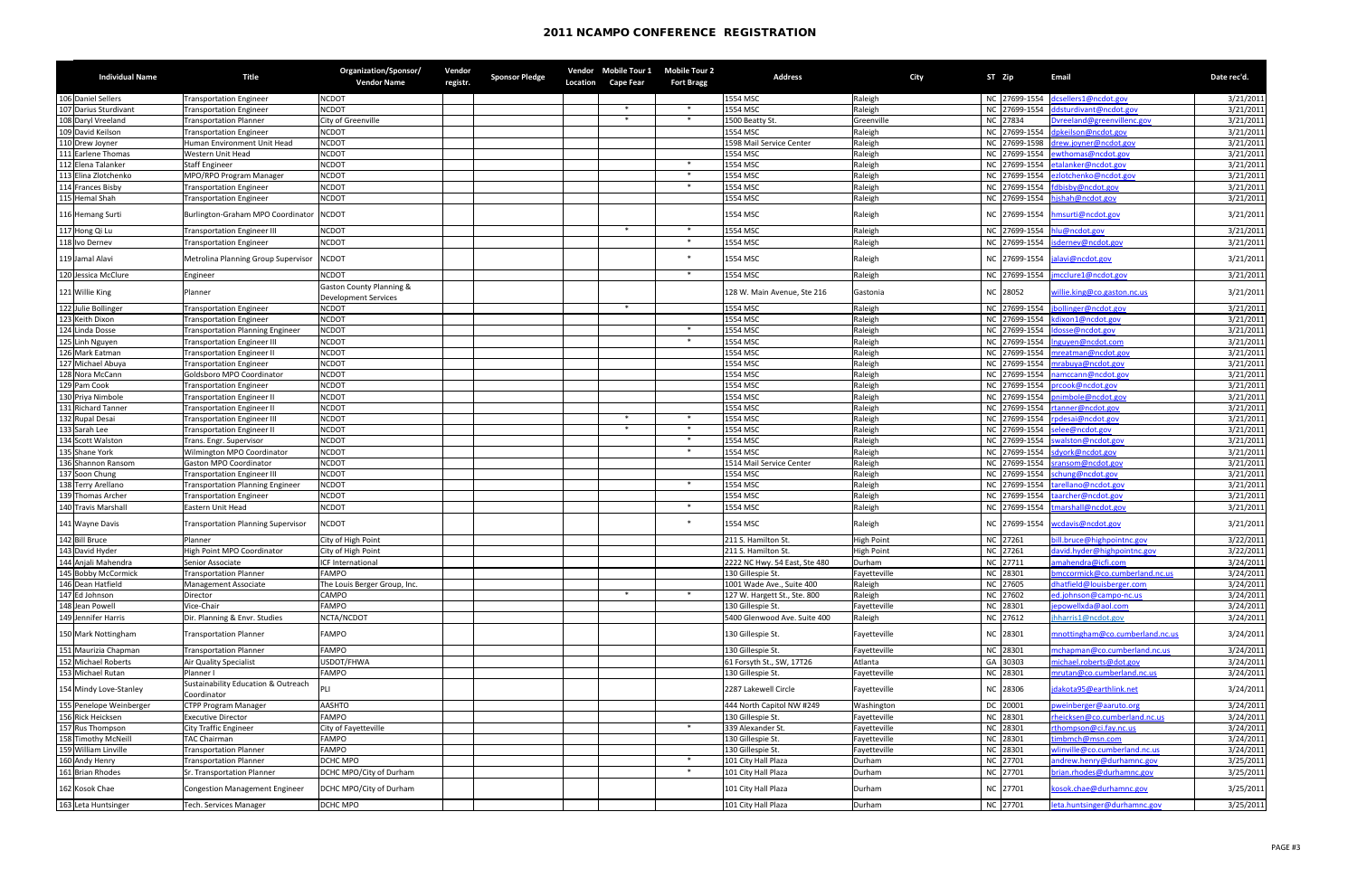| 106 Daniel Sellers<br><b>NCDOT</b><br>1554 MSC<br>Raleigh<br>NC 27699-1554 dcsellers1@ncdot.gov<br>Transportation Engineer<br>NC 27699-1554 ddsturdivant@ncdot.gov<br><b>NCDOT</b><br>107 Darius Sturdivant<br>$\ast$<br>$\ast$<br>1554 MSC<br>Raleigh<br>Transportation Engineer<br>$\ast$<br>Dvreeland@greenvillenc.gov<br>108 Daryl Vreeland<br>City of Greenville<br>$\ast$<br>NC 27834<br><b>Transportation Planner</b><br>1500 Beatty St.<br>Greenville<br>109 David Keilson<br><b>NCDOT</b><br>NC 27699-1554 dpkeilson@ncdot.gov<br>1554 MSC<br>Raleigh<br><b>Transportation Engineer</b><br>110 Drew Joyner<br><b>NCDOT</b><br>1598 Mail Service Center<br>Raleigh<br>NC 27699-1598 drew.joyner@ncdot.gov<br>Human Environment Unit Head<br><b>NCDOT</b><br>Raleigh<br>1554 MSC<br>NC 27699-1554 ewthomas@ncdot.gov<br>111 Earlene Thomas<br><b>Western Unit Head</b><br>112 Elena Talanker<br><b>NCDOT</b><br>$\ast$<br>NC 27699-1554 etalanker@ncdot.gov<br><b>Staff Engineer</b><br>1554 MSC<br>Raleigh<br>113 Elina Zlotchenko<br><b>NCDOT</b><br>1554 MSC<br>NC 27699-1554 ezlotchenko@ncdot.gov<br>MPO/RPO Program Manager<br>$\ast$<br>Raleigh<br>3/21/2011<br>114 Frances Bisby<br><b>NCDOT</b><br>$*$<br>1554 MSC<br>Raleigh<br>NC 27699-1554 fdbisby@ncdot.gov<br>3/21/2011<br><b>Transportation Engineer</b><br>$\sqrt{115}$ Hemal Shah<br><b>NCDOT</b><br>Raleigh<br>NC 27699-1554 hishah@ncdot.gov<br><b>Transportation Engineer</b><br>1554 MSC<br>3/21/2011<br><b>NCDOT</b><br>1554 MSC<br>Burlington-Graham MPO Coordinator<br>Raleigh<br>NC 27699-1554 hmsurti@ncdot.gov<br>116 Hemang Surti<br>117 Hong Qi Lu<br>NC 27699-1554 hlu@ncdot.gov<br><b>NCDOT</b><br>$\ast$<br>1554 MSC<br><b>Transportation Engineer III</b><br>$\ast$<br>Raleigh<br>118 Ivo Dernev<br>$*$<br><b>NCDOT</b><br>Raleigh<br>1554 MSC<br>NC 27699-1554  isdernev@ncdot.gov<br><b>Transportation Engineer</b><br>$\ast$<br>119 Jamal Alavi<br>Metrolina Planning Group Supervisor<br><b>NCDOT</b><br>1554 MSC<br>NC 27699-1554 jalavi@ncdot.gov<br>Raleigh<br>120 Jessica McClure<br>NC 27699-1554<br>$\ast$<br>Raleigh<br>imcclure1@ncdot.gov<br><b>NCDOT</b><br>1554 MSC<br>Engineer<br><b>Gaston County Planning &amp;</b><br>121 Willie King<br>128 W. Main Avenue, Ste 216<br>NC 28052<br>willie.king@co.gaston.nc.us<br>Planner<br>Gastonia<br><b>Development Services</b><br>122 Julie Bollinger<br>1554 MSC<br>NC 27699-1554<br>3/21/2011<br><b>NCDOT</b><br>Raleigh<br>jbollinger@ncdot.gov<br>$\ast$<br><b>Transportation Engineer</b><br>123 Keith Dixon<br><b>NCDOT</b><br>NC 27699-1554 kdixon1@ncdot.gov<br>1554 MSC<br>Raleigh<br>3/21/2011<br><b>Transportation Engineer</b><br>124<br><b>NCDOT</b><br>$*$<br>1554 MSC<br>Raleigh<br>NC 27699-1554   Idosse@ncdot.gov<br>Linda Dosse<br>3/21/2011<br><b>Transportation Planning Engineer</b><br>125<br><b>NCDOT</b><br>3/21/2011<br>$*$<br>1554 MSC<br>Raleigh<br>NC 27699-1554 Inguyen@ncdot.com<br>Linh Nguyen<br><b>Transportation Engineer III</b><br>126 Mark Eatman<br><b>NCDOT</b><br>1554 MSC<br>Raleigh<br>NC 27699-1554 mreatman@ncdot.gov<br>3/21/2011<br><b>Transportation Engineer II</b><br>127 Michael Abuya<br><b>NCDOT</b><br>1554 MSC<br>Raleigh<br>NC 27699-1554 mrabuya@ncdot.gov<br>3/21/2011<br><b>Transportation Engineer</b><br>128 Nora McCann<br><b>NCDOT</b><br>1554 MSC<br>Raleigh<br>NC 27699-1554 namccann@ncdot.gov<br>Goldsboro MPO Coordinator<br>129 Pam Cook<br><b>NCDOT</b><br>1554 MSC<br>Raleigh<br>NC 27699-1554 prcook@ncdot.gov<br><b>Transportation Engineer</b><br>130 Priya Nimbole<br><b>NCDOT</b><br>Raleigh<br>NC 27699-1554 pnimbole@ncdot.gov<br>1554 MSC<br><b>Transportation Engineer II</b><br>131 Richard Tanner<br>NC 27699-1554 rtanner@ncdot.gov<br><b>NCDOT</b><br>1554 MSC<br>Raleigh<br><b>Transportation Engineer II</b><br>132 Rupal Desai<br>NC 27699-1554 rpdesai@ncdot.gov<br><b>NCDOT</b><br>$\ast$<br>1554 MSC<br>Raleigh<br><b>Transportation Engineer III</b><br>133 Sarah Lee<br><b>NCDOT</b><br>1554 MSC<br>$\ast$<br>Raleigh<br>NC 27699-1554 selee@ncdot.gov<br><b>Transportation Engineer II</b><br>134 Scott Walston<br><b>NCDOT</b><br>$\ast$<br>1554 MSC<br>Raleigh<br>NC 27699-1554  swalston@ncdot.gov<br>Trans. Engr. Supervisor<br>135 Shane York<br><b>NCDOT</b><br>$\ast$<br>Raleigh<br><b>Wilmington MPO Coordinator</b><br>1554 MSC<br>NC 27699-1554 sdyork@ncdot.gov<br>136 Shannon Ransom<br>Gaston MPO Coordinator<br><b>NCDOT</b><br>Raleigh<br>NC 27699-1554 sransom@ncdot.gov<br>1514 Mail Service Center<br>137 Soon Chung<br><b>NCDOT</b><br>1554 MSC<br>Raleigh<br>NC 27699-1554 schung@ncdot.gov<br><b>Transportation Engineer III</b><br>138<br>$\ast$<br>Terry Arellano<br><b>NCDOT</b><br>Raleigh<br>NC 27699-1554 tarellano@ncdot.gov<br><b>Transportation Planning Engineer</b><br>1554 MSC<br><b>NCDOT</b><br>139 Thomas Archer<br>1554 MSC<br>Raleigh<br>NC 27699-1554 taarcher@ncdot.gov<br><b>Transportation Engineer</b><br><b>NCDOT</b><br>$\ast$<br>1554 MSC<br>Raleigh<br>NC 27699-1554 tmarshall@ncdot.gov<br>140 Travis Marshall<br>Eastern Unit Head<br><b>NCDOT</b><br>$\ast$<br>1554 MSC<br>141 Wayne Davis<br><b>Transportation Planning Supervisor</b><br>Raleigh<br>NC 27699-1554 wcdavis@ncdot.gov<br>bill.bruce@highpointnc.gov<br>142 Bill Bruce<br>City of High Point<br>211 S. Hamilton St.<br>NC 27261<br><b>High Point</b><br>Planner<br>NC 27261<br>143 David Hyder<br>High Point MPO Coordinator<br>david.hyder@highpointnc.gov<br>211 S. Hamilton St.<br><b>High Point</b><br>City of High Point<br>amahendra@icfi.com<br>144 Anjali Mahendra<br>ICF International<br>NC 27711<br>2222 NC Hwy. 54 East, Ste 480<br>Durham<br>Senior Associate<br>145 Bobby McCormick<br>130 Gillespie St.<br>NC 28301<br><b>Transportation Planner</b><br><b>FAMPO</b><br>omccormick@co.cumberland.nc.us<br>Fayetteville<br>dhatfield@louisberger.com<br>NC 27605<br>146 Dean Hatfield<br>1001 Wade Ave., Suite 400<br>Raleigh<br>The Louis Berger Group, Inc.<br>Management Associate<br>$*$<br>147 Ed Johnson<br><b>CAMPO</b><br>$\ast$<br>Raleigh<br>NC 27602<br>127 W. Hargett St., Ste. 800<br>ed.johnson@campo-nc.us<br>Director<br><b>FAMPO</b><br>NC 28301<br>epowellxda@aol.com<br>148 Jean Powell<br>Vice-Chair<br>130 Gillespie St.<br>Fayetteville<br>149 Jennifer Harris<br>Dir. Planning & Envr. Studies<br>NCTA/NCDOT<br>Raleigh<br>NC 27612<br>jhharris1@ncdot.gov<br>5400 Glenwood Ave. Suite 400<br>NC 28301<br><b>FAMPO</b><br>130 Gillespie St.<br>150 Mark Nottingham<br><b>Transportation Planner</b><br>Fayetteville<br>mnottingham@co.cumberland.nc.us<br>151 Maurizia Chapman<br>NC 28301<br><b>FAMPO</b><br>130 Gillespie St.<br><b>Transportation Planner</b><br>mchapman@co.cumberland.nc.us<br>Fayetteville<br>152 Michael Roberts<br>USDOT/FHWA<br>GA 30303<br>michael.roberts@dot.gov<br><b>Air Quality Specialist</b><br>61 Forsyth St., SW, 17T26<br>Atlanta<br>153 Michael Rutan<br>NC 28301<br><b>FAMPO</b><br>130 Gillespie St.<br>Planner I<br>mrutan@co.cumberland.nc.us<br>Fayetteville<br><b>Sustainability Education &amp; Outreach</b><br>2287 Lakewell Circle<br>NC 28306<br>jdakota95@earthlink.net<br>154 Mindy Love-Stanley<br>Fayetteville<br>Coordinator<br>155 Penelope Weinberger<br>DC 20001<br>weinberger@aaruto.org<br><b>CTPP Program Manager</b><br><b>AASHTO</b><br>444 North Capitol NW #249<br>Washington<br>156 Rick Heicksen<br>NC 28301<br><b>FAMPO</b><br>130 Gillespie St.<br><b>Executive Director</b><br>heicksen@co.cumberland.nc.us<br>Fayetteville<br>$\ast$<br>NC 28301<br><b>City Traffic Engineer</b><br>339 Alexander St.<br>rthompson@ci.fay.nc.us<br><b>Rus Thompson</b><br>City of Fayetteville<br>Fayetteville<br>158<br>:imbmch@msn.com<br><b>FAMPO</b><br>NC 28301<br><b>Timothy McNeill</b><br><b>TAC Chairman</b><br>130 Gillespie St.<br>Fayetteville<br>159 William Linville<br>NC 28301<br>wlinville@co.cumberland.nc.us<br><b>Transportation Planner</b><br><b>FAMPO</b><br>130 Gillespie St.<br>Fayetteville<br>160 Andy Henry<br>Transportation Planner<br>DCHC MPO<br>∗<br>101 City Hall Plaza<br>Durham<br>NC 27701<br>andrew.henry@durhamnc.gov<br>161 Brian Rhodes<br>NC 27701<br>brian.rhodes@durhamnc.gov<br>DCHC MPO/City of Durham<br>$\ast$<br>101 City Hall Plaza<br>Sr. Transportation Planner<br>Durham<br>DCHC MPO/City of Durham<br>NC 27701<br>162 Kosok Chae<br>Congestion Management Engineer<br>kosok.chae@durhamnc.gov<br>101 City Hall Plaza<br>Durham<br>163 Leta Huntsinger<br>DCHC MPO<br>NC 27701<br>101 City Hall Plaza<br>leta.huntsinger@durhamnc.gov<br>Tech. Services Manager<br>Durham | <b>Individual Name</b> | <b>Title</b> | Organization/Sponsor/<br><b>Vendor Name</b> | Vendor<br>registr. | <b>Sponsor Pledge</b> | <b>Location</b> | <b>Vendor</b> Mobile Tour 1<br><b>Cape Fear</b> | <b>Mobile Tour 2</b><br><b>Fort Bragg</b> | <b>Address</b> | City | ST Zip<br><b>Email</b> | Date rec'd. |
|------------------------------------------------------------------------------------------------------------------------------------------------------------------------------------------------------------------------------------------------------------------------------------------------------------------------------------------------------------------------------------------------------------------------------------------------------------------------------------------------------------------------------------------------------------------------------------------------------------------------------------------------------------------------------------------------------------------------------------------------------------------------------------------------------------------------------------------------------------------------------------------------------------------------------------------------------------------------------------------------------------------------------------------------------------------------------------------------------------------------------------------------------------------------------------------------------------------------------------------------------------------------------------------------------------------------------------------------------------------------------------------------------------------------------------------------------------------------------------------------------------------------------------------------------------------------------------------------------------------------------------------------------------------------------------------------------------------------------------------------------------------------------------------------------------------------------------------------------------------------------------------------------------------------------------------------------------------------------------------------------------------------------------------------------------------------------------------------------------------------------------------------------------------------------------------------------------------------------------------------------------------------------------------------------------------------------------------------------------------------------------------------------------------------------------------------------------------------------------------------------------------------------------------------------------------------------------------------------------------------------------------------------------------------------------------------------------------------------------------------------------------------------------------------------------------------------------------------------------------------------------------------------------------------------------------------------------------------------------------------------------------------------------------------------------------------------------------------------------------------------------------------------------------------------------------------------------------------------------------------------------------------------------------------------------------------------------------------------------------------------------------------------------------------------------------------------------------------------------------------------------------------------------------------------------------------------------------------------------------------------------------------------------------------------------------------------------------------------------------------------------------------------------------------------------------------------------------------------------------------------------------------------------------------------------------------------------------------------------------------------------------------------------------------------------------------------------------------------------------------------------------------------------------------------------------------------------------------------------------------------------------------------------------------------------------------------------------------------------------------------------------------------------------------------------------------------------------------------------------------------------------------------------------------------------------------------------------------------------------------------------------------------------------------------------------------------------------------------------------------------------------------------------------------------------------------------------------------------------------------------------------------------------------------------------------------------------------------------------------------------------------------------------------------------------------------------------------------------------------------------------------------------------------------------------------------------------------------------------------------------------------------------------------------------------------------------------------------------------------------------------------------------------------------------------------------------------------------------------------------------------------------------------------------------------------------------------------------------------------------------------------------------------------------------------------------------------------------------------------------------------------------------------------------------------------------------------------------------------------------------------------------------------------------------------------------------------------------------------------------------------------------------------------------------------------------------------------------------------------------------------------------------------------------------------------------------------------------------------------------------------------------------------------------------------------------------------------------------------------------------------------------------------------------------------------------------------------------------------------------------------------------------------------------------------------------------------------------------------------------------------------------------------------------------------------------------------------------------------------------------------------------------------------------------------------------------------------------------------------------------------------------------------------------------------------------------------------------------------------------------------------------------------------------------------------------------------------------------------------------------------------------------------------------------------------------------------------------------------------------------------------------------------------------------------------------------------------------------------------------------------------------------------------------------------------------------------------------------------------------------------------------------------------------------------------------------------------------------------------------------------------------------------------------------------------------------------------------------------------------------------------------------------------------------------------------------------------------------------------------------------------------------------------------------------------------------------------------------------------------------------------------------------------------------------------------------------------------------------------------------------------------------------------------------------------------------------------------------------------------------------------------------------------------------------------------------------------------------------------------------------------------------------------------------------------------------------------------------------------------------------------------------------------------------------------------------------------------------------------------------------------------------------------------------------------|------------------------|--------------|---------------------------------------------|--------------------|-----------------------|-----------------|-------------------------------------------------|-------------------------------------------|----------------|------|------------------------|-------------|
|                                                                                                                                                                                                                                                                                                                                                                                                                                                                                                                                                                                                                                                                                                                                                                                                                                                                                                                                                                                                                                                                                                                                                                                                                                                                                                                                                                                                                                                                                                                                                                                                                                                                                                                                                                                                                                                                                                                                                                                                                                                                                                                                                                                                                                                                                                                                                                                                                                                                                                                                                                                                                                                                                                                                                                                                                                                                                                                                                                                                                                                                                                                                                                                                                                                                                                                                                                                                                                                                                                                                                                                                                                                                                                                                                                                                                                                                                                                                                                                                                                                                                                                                                                                                                                                                                                                                                                                                                                                                                                                                                                                                                                                                                                                                                                                                                                                                                                                                                                                                                                                                                                                                                                                                                                                                                                                                                                                                                                                                                                                                                                                                                                                                                                                                                                                                                                                                                                                                                                                                                                                                                                                                                                                                                                                                                                                                                                                                                                                                                                                                                                                                                                                                                                                                                                                                                                                                                                                                                                                                                                                                                                                                                                                                                                                                                                                                                                                                                                                                                                                                                                                                                                                                                                                                                                                                                                                                                                                                                                                                                                                                                                                                                                                                                                                                                                                                                                                                                                                                                                                                                                                                                                                                                          |                        |              |                                             |                    |                       |                 |                                                 |                                           |                |      |                        | 3/21/2011   |
|                                                                                                                                                                                                                                                                                                                                                                                                                                                                                                                                                                                                                                                                                                                                                                                                                                                                                                                                                                                                                                                                                                                                                                                                                                                                                                                                                                                                                                                                                                                                                                                                                                                                                                                                                                                                                                                                                                                                                                                                                                                                                                                                                                                                                                                                                                                                                                                                                                                                                                                                                                                                                                                                                                                                                                                                                                                                                                                                                                                                                                                                                                                                                                                                                                                                                                                                                                                                                                                                                                                                                                                                                                                                                                                                                                                                                                                                                                                                                                                                                                                                                                                                                                                                                                                                                                                                                                                                                                                                                                                                                                                                                                                                                                                                                                                                                                                                                                                                                                                                                                                                                                                                                                                                                                                                                                                                                                                                                                                                                                                                                                                                                                                                                                                                                                                                                                                                                                                                                                                                                                                                                                                                                                                                                                                                                                                                                                                                                                                                                                                                                                                                                                                                                                                                                                                                                                                                                                                                                                                                                                                                                                                                                                                                                                                                                                                                                                                                                                                                                                                                                                                                                                                                                                                                                                                                                                                                                                                                                                                                                                                                                                                                                                                                                                                                                                                                                                                                                                                                                                                                                                                                                                                                                          |                        |              |                                             |                    |                       |                 |                                                 |                                           |                |      |                        | 3/21/2011   |
|                                                                                                                                                                                                                                                                                                                                                                                                                                                                                                                                                                                                                                                                                                                                                                                                                                                                                                                                                                                                                                                                                                                                                                                                                                                                                                                                                                                                                                                                                                                                                                                                                                                                                                                                                                                                                                                                                                                                                                                                                                                                                                                                                                                                                                                                                                                                                                                                                                                                                                                                                                                                                                                                                                                                                                                                                                                                                                                                                                                                                                                                                                                                                                                                                                                                                                                                                                                                                                                                                                                                                                                                                                                                                                                                                                                                                                                                                                                                                                                                                                                                                                                                                                                                                                                                                                                                                                                                                                                                                                                                                                                                                                                                                                                                                                                                                                                                                                                                                                                                                                                                                                                                                                                                                                                                                                                                                                                                                                                                                                                                                                                                                                                                                                                                                                                                                                                                                                                                                                                                                                                                                                                                                                                                                                                                                                                                                                                                                                                                                                                                                                                                                                                                                                                                                                                                                                                                                                                                                                                                                                                                                                                                                                                                                                                                                                                                                                                                                                                                                                                                                                                                                                                                                                                                                                                                                                                                                                                                                                                                                                                                                                                                                                                                                                                                                                                                                                                                                                                                                                                                                                                                                                                                                          |                        |              |                                             |                    |                       |                 |                                                 |                                           |                |      |                        | 3/21/2011   |
|                                                                                                                                                                                                                                                                                                                                                                                                                                                                                                                                                                                                                                                                                                                                                                                                                                                                                                                                                                                                                                                                                                                                                                                                                                                                                                                                                                                                                                                                                                                                                                                                                                                                                                                                                                                                                                                                                                                                                                                                                                                                                                                                                                                                                                                                                                                                                                                                                                                                                                                                                                                                                                                                                                                                                                                                                                                                                                                                                                                                                                                                                                                                                                                                                                                                                                                                                                                                                                                                                                                                                                                                                                                                                                                                                                                                                                                                                                                                                                                                                                                                                                                                                                                                                                                                                                                                                                                                                                                                                                                                                                                                                                                                                                                                                                                                                                                                                                                                                                                                                                                                                                                                                                                                                                                                                                                                                                                                                                                                                                                                                                                                                                                                                                                                                                                                                                                                                                                                                                                                                                                                                                                                                                                                                                                                                                                                                                                                                                                                                                                                                                                                                                                                                                                                                                                                                                                                                                                                                                                                                                                                                                                                                                                                                                                                                                                                                                                                                                                                                                                                                                                                                                                                                                                                                                                                                                                                                                                                                                                                                                                                                                                                                                                                                                                                                                                                                                                                                                                                                                                                                                                                                                                                                          |                        |              |                                             |                    |                       |                 |                                                 |                                           |                |      |                        | 3/21/2011   |
|                                                                                                                                                                                                                                                                                                                                                                                                                                                                                                                                                                                                                                                                                                                                                                                                                                                                                                                                                                                                                                                                                                                                                                                                                                                                                                                                                                                                                                                                                                                                                                                                                                                                                                                                                                                                                                                                                                                                                                                                                                                                                                                                                                                                                                                                                                                                                                                                                                                                                                                                                                                                                                                                                                                                                                                                                                                                                                                                                                                                                                                                                                                                                                                                                                                                                                                                                                                                                                                                                                                                                                                                                                                                                                                                                                                                                                                                                                                                                                                                                                                                                                                                                                                                                                                                                                                                                                                                                                                                                                                                                                                                                                                                                                                                                                                                                                                                                                                                                                                                                                                                                                                                                                                                                                                                                                                                                                                                                                                                                                                                                                                                                                                                                                                                                                                                                                                                                                                                                                                                                                                                                                                                                                                                                                                                                                                                                                                                                                                                                                                                                                                                                                                                                                                                                                                                                                                                                                                                                                                                                                                                                                                                                                                                                                                                                                                                                                                                                                                                                                                                                                                                                                                                                                                                                                                                                                                                                                                                                                                                                                                                                                                                                                                                                                                                                                                                                                                                                                                                                                                                                                                                                                                                                          |                        |              |                                             |                    |                       |                 |                                                 |                                           |                |      |                        | 3/21/2011   |
|                                                                                                                                                                                                                                                                                                                                                                                                                                                                                                                                                                                                                                                                                                                                                                                                                                                                                                                                                                                                                                                                                                                                                                                                                                                                                                                                                                                                                                                                                                                                                                                                                                                                                                                                                                                                                                                                                                                                                                                                                                                                                                                                                                                                                                                                                                                                                                                                                                                                                                                                                                                                                                                                                                                                                                                                                                                                                                                                                                                                                                                                                                                                                                                                                                                                                                                                                                                                                                                                                                                                                                                                                                                                                                                                                                                                                                                                                                                                                                                                                                                                                                                                                                                                                                                                                                                                                                                                                                                                                                                                                                                                                                                                                                                                                                                                                                                                                                                                                                                                                                                                                                                                                                                                                                                                                                                                                                                                                                                                                                                                                                                                                                                                                                                                                                                                                                                                                                                                                                                                                                                                                                                                                                                                                                                                                                                                                                                                                                                                                                                                                                                                                                                                                                                                                                                                                                                                                                                                                                                                                                                                                                                                                                                                                                                                                                                                                                                                                                                                                                                                                                                                                                                                                                                                                                                                                                                                                                                                                                                                                                                                                                                                                                                                                                                                                                                                                                                                                                                                                                                                                                                                                                                                                          |                        |              |                                             |                    |                       |                 |                                                 |                                           |                |      |                        | 3/21/2011   |
|                                                                                                                                                                                                                                                                                                                                                                                                                                                                                                                                                                                                                                                                                                                                                                                                                                                                                                                                                                                                                                                                                                                                                                                                                                                                                                                                                                                                                                                                                                                                                                                                                                                                                                                                                                                                                                                                                                                                                                                                                                                                                                                                                                                                                                                                                                                                                                                                                                                                                                                                                                                                                                                                                                                                                                                                                                                                                                                                                                                                                                                                                                                                                                                                                                                                                                                                                                                                                                                                                                                                                                                                                                                                                                                                                                                                                                                                                                                                                                                                                                                                                                                                                                                                                                                                                                                                                                                                                                                                                                                                                                                                                                                                                                                                                                                                                                                                                                                                                                                                                                                                                                                                                                                                                                                                                                                                                                                                                                                                                                                                                                                                                                                                                                                                                                                                                                                                                                                                                                                                                                                                                                                                                                                                                                                                                                                                                                                                                                                                                                                                                                                                                                                                                                                                                                                                                                                                                                                                                                                                                                                                                                                                                                                                                                                                                                                                                                                                                                                                                                                                                                                                                                                                                                                                                                                                                                                                                                                                                                                                                                                                                                                                                                                                                                                                                                                                                                                                                                                                                                                                                                                                                                                                                          |                        |              |                                             |                    |                       |                 |                                                 |                                           |                |      |                        | 3/21/2011   |
|                                                                                                                                                                                                                                                                                                                                                                                                                                                                                                                                                                                                                                                                                                                                                                                                                                                                                                                                                                                                                                                                                                                                                                                                                                                                                                                                                                                                                                                                                                                                                                                                                                                                                                                                                                                                                                                                                                                                                                                                                                                                                                                                                                                                                                                                                                                                                                                                                                                                                                                                                                                                                                                                                                                                                                                                                                                                                                                                                                                                                                                                                                                                                                                                                                                                                                                                                                                                                                                                                                                                                                                                                                                                                                                                                                                                                                                                                                                                                                                                                                                                                                                                                                                                                                                                                                                                                                                                                                                                                                                                                                                                                                                                                                                                                                                                                                                                                                                                                                                                                                                                                                                                                                                                                                                                                                                                                                                                                                                                                                                                                                                                                                                                                                                                                                                                                                                                                                                                                                                                                                                                                                                                                                                                                                                                                                                                                                                                                                                                                                                                                                                                                                                                                                                                                                                                                                                                                                                                                                                                                                                                                                                                                                                                                                                                                                                                                                                                                                                                                                                                                                                                                                                                                                                                                                                                                                                                                                                                                                                                                                                                                                                                                                                                                                                                                                                                                                                                                                                                                                                                                                                                                                                                                          |                        |              |                                             |                    |                       |                 |                                                 |                                           |                |      |                        |             |
|                                                                                                                                                                                                                                                                                                                                                                                                                                                                                                                                                                                                                                                                                                                                                                                                                                                                                                                                                                                                                                                                                                                                                                                                                                                                                                                                                                                                                                                                                                                                                                                                                                                                                                                                                                                                                                                                                                                                                                                                                                                                                                                                                                                                                                                                                                                                                                                                                                                                                                                                                                                                                                                                                                                                                                                                                                                                                                                                                                                                                                                                                                                                                                                                                                                                                                                                                                                                                                                                                                                                                                                                                                                                                                                                                                                                                                                                                                                                                                                                                                                                                                                                                                                                                                                                                                                                                                                                                                                                                                                                                                                                                                                                                                                                                                                                                                                                                                                                                                                                                                                                                                                                                                                                                                                                                                                                                                                                                                                                                                                                                                                                                                                                                                                                                                                                                                                                                                                                                                                                                                                                                                                                                                                                                                                                                                                                                                                                                                                                                                                                                                                                                                                                                                                                                                                                                                                                                                                                                                                                                                                                                                                                                                                                                                                                                                                                                                                                                                                                                                                                                                                                                                                                                                                                                                                                                                                                                                                                                                                                                                                                                                                                                                                                                                                                                                                                                                                                                                                                                                                                                                                                                                                                                          |                        |              |                                             |                    |                       |                 |                                                 |                                           |                |      |                        |             |
|                                                                                                                                                                                                                                                                                                                                                                                                                                                                                                                                                                                                                                                                                                                                                                                                                                                                                                                                                                                                                                                                                                                                                                                                                                                                                                                                                                                                                                                                                                                                                                                                                                                                                                                                                                                                                                                                                                                                                                                                                                                                                                                                                                                                                                                                                                                                                                                                                                                                                                                                                                                                                                                                                                                                                                                                                                                                                                                                                                                                                                                                                                                                                                                                                                                                                                                                                                                                                                                                                                                                                                                                                                                                                                                                                                                                                                                                                                                                                                                                                                                                                                                                                                                                                                                                                                                                                                                                                                                                                                                                                                                                                                                                                                                                                                                                                                                                                                                                                                                                                                                                                                                                                                                                                                                                                                                                                                                                                                                                                                                                                                                                                                                                                                                                                                                                                                                                                                                                                                                                                                                                                                                                                                                                                                                                                                                                                                                                                                                                                                                                                                                                                                                                                                                                                                                                                                                                                                                                                                                                                                                                                                                                                                                                                                                                                                                                                                                                                                                                                                                                                                                                                                                                                                                                                                                                                                                                                                                                                                                                                                                                                                                                                                                                                                                                                                                                                                                                                                                                                                                                                                                                                                                                                          |                        |              |                                             |                    |                       |                 |                                                 |                                           |                |      |                        |             |
|                                                                                                                                                                                                                                                                                                                                                                                                                                                                                                                                                                                                                                                                                                                                                                                                                                                                                                                                                                                                                                                                                                                                                                                                                                                                                                                                                                                                                                                                                                                                                                                                                                                                                                                                                                                                                                                                                                                                                                                                                                                                                                                                                                                                                                                                                                                                                                                                                                                                                                                                                                                                                                                                                                                                                                                                                                                                                                                                                                                                                                                                                                                                                                                                                                                                                                                                                                                                                                                                                                                                                                                                                                                                                                                                                                                                                                                                                                                                                                                                                                                                                                                                                                                                                                                                                                                                                                                                                                                                                                                                                                                                                                                                                                                                                                                                                                                                                                                                                                                                                                                                                                                                                                                                                                                                                                                                                                                                                                                                                                                                                                                                                                                                                                                                                                                                                                                                                                                                                                                                                                                                                                                                                                                                                                                                                                                                                                                                                                                                                                                                                                                                                                                                                                                                                                                                                                                                                                                                                                                                                                                                                                                                                                                                                                                                                                                                                                                                                                                                                                                                                                                                                                                                                                                                                                                                                                                                                                                                                                                                                                                                                                                                                                                                                                                                                                                                                                                                                                                                                                                                                                                                                                                                                          |                        |              |                                             |                    |                       |                 |                                                 |                                           |                |      |                        | 3/21/2011   |
|                                                                                                                                                                                                                                                                                                                                                                                                                                                                                                                                                                                                                                                                                                                                                                                                                                                                                                                                                                                                                                                                                                                                                                                                                                                                                                                                                                                                                                                                                                                                                                                                                                                                                                                                                                                                                                                                                                                                                                                                                                                                                                                                                                                                                                                                                                                                                                                                                                                                                                                                                                                                                                                                                                                                                                                                                                                                                                                                                                                                                                                                                                                                                                                                                                                                                                                                                                                                                                                                                                                                                                                                                                                                                                                                                                                                                                                                                                                                                                                                                                                                                                                                                                                                                                                                                                                                                                                                                                                                                                                                                                                                                                                                                                                                                                                                                                                                                                                                                                                                                                                                                                                                                                                                                                                                                                                                                                                                                                                                                                                                                                                                                                                                                                                                                                                                                                                                                                                                                                                                                                                                                                                                                                                                                                                                                                                                                                                                                                                                                                                                                                                                                                                                                                                                                                                                                                                                                                                                                                                                                                                                                                                                                                                                                                                                                                                                                                                                                                                                                                                                                                                                                                                                                                                                                                                                                                                                                                                                                                                                                                                                                                                                                                                                                                                                                                                                                                                                                                                                                                                                                                                                                                                                                          |                        |              |                                             |                    |                       |                 |                                                 |                                           |                |      |                        | 3/21/2011   |
|                                                                                                                                                                                                                                                                                                                                                                                                                                                                                                                                                                                                                                                                                                                                                                                                                                                                                                                                                                                                                                                                                                                                                                                                                                                                                                                                                                                                                                                                                                                                                                                                                                                                                                                                                                                                                                                                                                                                                                                                                                                                                                                                                                                                                                                                                                                                                                                                                                                                                                                                                                                                                                                                                                                                                                                                                                                                                                                                                                                                                                                                                                                                                                                                                                                                                                                                                                                                                                                                                                                                                                                                                                                                                                                                                                                                                                                                                                                                                                                                                                                                                                                                                                                                                                                                                                                                                                                                                                                                                                                                                                                                                                                                                                                                                                                                                                                                                                                                                                                                                                                                                                                                                                                                                                                                                                                                                                                                                                                                                                                                                                                                                                                                                                                                                                                                                                                                                                                                                                                                                                                                                                                                                                                                                                                                                                                                                                                                                                                                                                                                                                                                                                                                                                                                                                                                                                                                                                                                                                                                                                                                                                                                                                                                                                                                                                                                                                                                                                                                                                                                                                                                                                                                                                                                                                                                                                                                                                                                                                                                                                                                                                                                                                                                                                                                                                                                                                                                                                                                                                                                                                                                                                                                                          |                        |              |                                             |                    |                       |                 |                                                 |                                           |                |      |                        | 3/21/2011   |
|                                                                                                                                                                                                                                                                                                                                                                                                                                                                                                                                                                                                                                                                                                                                                                                                                                                                                                                                                                                                                                                                                                                                                                                                                                                                                                                                                                                                                                                                                                                                                                                                                                                                                                                                                                                                                                                                                                                                                                                                                                                                                                                                                                                                                                                                                                                                                                                                                                                                                                                                                                                                                                                                                                                                                                                                                                                                                                                                                                                                                                                                                                                                                                                                                                                                                                                                                                                                                                                                                                                                                                                                                                                                                                                                                                                                                                                                                                                                                                                                                                                                                                                                                                                                                                                                                                                                                                                                                                                                                                                                                                                                                                                                                                                                                                                                                                                                                                                                                                                                                                                                                                                                                                                                                                                                                                                                                                                                                                                                                                                                                                                                                                                                                                                                                                                                                                                                                                                                                                                                                                                                                                                                                                                                                                                                                                                                                                                                                                                                                                                                                                                                                                                                                                                                                                                                                                                                                                                                                                                                                                                                                                                                                                                                                                                                                                                                                                                                                                                                                                                                                                                                                                                                                                                                                                                                                                                                                                                                                                                                                                                                                                                                                                                                                                                                                                                                                                                                                                                                                                                                                                                                                                                                                          |                        |              |                                             |                    |                       |                 |                                                 |                                           |                |      |                        | 3/21/2011   |
|                                                                                                                                                                                                                                                                                                                                                                                                                                                                                                                                                                                                                                                                                                                                                                                                                                                                                                                                                                                                                                                                                                                                                                                                                                                                                                                                                                                                                                                                                                                                                                                                                                                                                                                                                                                                                                                                                                                                                                                                                                                                                                                                                                                                                                                                                                                                                                                                                                                                                                                                                                                                                                                                                                                                                                                                                                                                                                                                                                                                                                                                                                                                                                                                                                                                                                                                                                                                                                                                                                                                                                                                                                                                                                                                                                                                                                                                                                                                                                                                                                                                                                                                                                                                                                                                                                                                                                                                                                                                                                                                                                                                                                                                                                                                                                                                                                                                                                                                                                                                                                                                                                                                                                                                                                                                                                                                                                                                                                                                                                                                                                                                                                                                                                                                                                                                                                                                                                                                                                                                                                                                                                                                                                                                                                                                                                                                                                                                                                                                                                                                                                                                                                                                                                                                                                                                                                                                                                                                                                                                                                                                                                                                                                                                                                                                                                                                                                                                                                                                                                                                                                                                                                                                                                                                                                                                                                                                                                                                                                                                                                                                                                                                                                                                                                                                                                                                                                                                                                                                                                                                                                                                                                                                                          |                        |              |                                             |                    |                       |                 |                                                 |                                           |                |      |                        | 3/21/2011   |
|                                                                                                                                                                                                                                                                                                                                                                                                                                                                                                                                                                                                                                                                                                                                                                                                                                                                                                                                                                                                                                                                                                                                                                                                                                                                                                                                                                                                                                                                                                                                                                                                                                                                                                                                                                                                                                                                                                                                                                                                                                                                                                                                                                                                                                                                                                                                                                                                                                                                                                                                                                                                                                                                                                                                                                                                                                                                                                                                                                                                                                                                                                                                                                                                                                                                                                                                                                                                                                                                                                                                                                                                                                                                                                                                                                                                                                                                                                                                                                                                                                                                                                                                                                                                                                                                                                                                                                                                                                                                                                                                                                                                                                                                                                                                                                                                                                                                                                                                                                                                                                                                                                                                                                                                                                                                                                                                                                                                                                                                                                                                                                                                                                                                                                                                                                                                                                                                                                                                                                                                                                                                                                                                                                                                                                                                                                                                                                                                                                                                                                                                                                                                                                                                                                                                                                                                                                                                                                                                                                                                                                                                                                                                                                                                                                                                                                                                                                                                                                                                                                                                                                                                                                                                                                                                                                                                                                                                                                                                                                                                                                                                                                                                                                                                                                                                                                                                                                                                                                                                                                                                                                                                                                                                                          |                        |              |                                             |                    |                       |                 |                                                 |                                           |                |      |                        | 3/21/2011   |
|                                                                                                                                                                                                                                                                                                                                                                                                                                                                                                                                                                                                                                                                                                                                                                                                                                                                                                                                                                                                                                                                                                                                                                                                                                                                                                                                                                                                                                                                                                                                                                                                                                                                                                                                                                                                                                                                                                                                                                                                                                                                                                                                                                                                                                                                                                                                                                                                                                                                                                                                                                                                                                                                                                                                                                                                                                                                                                                                                                                                                                                                                                                                                                                                                                                                                                                                                                                                                                                                                                                                                                                                                                                                                                                                                                                                                                                                                                                                                                                                                                                                                                                                                                                                                                                                                                                                                                                                                                                                                                                                                                                                                                                                                                                                                                                                                                                                                                                                                                                                                                                                                                                                                                                                                                                                                                                                                                                                                                                                                                                                                                                                                                                                                                                                                                                                                                                                                                                                                                                                                                                                                                                                                                                                                                                                                                                                                                                                                                                                                                                                                                                                                                                                                                                                                                                                                                                                                                                                                                                                                                                                                                                                                                                                                                                                                                                                                                                                                                                                                                                                                                                                                                                                                                                                                                                                                                                                                                                                                                                                                                                                                                                                                                                                                                                                                                                                                                                                                                                                                                                                                                                                                                                                                          |                        |              |                                             |                    |                       |                 |                                                 |                                           |                |      |                        |             |
|                                                                                                                                                                                                                                                                                                                                                                                                                                                                                                                                                                                                                                                                                                                                                                                                                                                                                                                                                                                                                                                                                                                                                                                                                                                                                                                                                                                                                                                                                                                                                                                                                                                                                                                                                                                                                                                                                                                                                                                                                                                                                                                                                                                                                                                                                                                                                                                                                                                                                                                                                                                                                                                                                                                                                                                                                                                                                                                                                                                                                                                                                                                                                                                                                                                                                                                                                                                                                                                                                                                                                                                                                                                                                                                                                                                                                                                                                                                                                                                                                                                                                                                                                                                                                                                                                                                                                                                                                                                                                                                                                                                                                                                                                                                                                                                                                                                                                                                                                                                                                                                                                                                                                                                                                                                                                                                                                                                                                                                                                                                                                                                                                                                                                                                                                                                                                                                                                                                                                                                                                                                                                                                                                                                                                                                                                                                                                                                                                                                                                                                                                                                                                                                                                                                                                                                                                                                                                                                                                                                                                                                                                                                                                                                                                                                                                                                                                                                                                                                                                                                                                                                                                                                                                                                                                                                                                                                                                                                                                                                                                                                                                                                                                                                                                                                                                                                                                                                                                                                                                                                                                                                                                                                                                          |                        |              |                                             |                    |                       |                 |                                                 |                                           |                |      |                        |             |
|                                                                                                                                                                                                                                                                                                                                                                                                                                                                                                                                                                                                                                                                                                                                                                                                                                                                                                                                                                                                                                                                                                                                                                                                                                                                                                                                                                                                                                                                                                                                                                                                                                                                                                                                                                                                                                                                                                                                                                                                                                                                                                                                                                                                                                                                                                                                                                                                                                                                                                                                                                                                                                                                                                                                                                                                                                                                                                                                                                                                                                                                                                                                                                                                                                                                                                                                                                                                                                                                                                                                                                                                                                                                                                                                                                                                                                                                                                                                                                                                                                                                                                                                                                                                                                                                                                                                                                                                                                                                                                                                                                                                                                                                                                                                                                                                                                                                                                                                                                                                                                                                                                                                                                                                                                                                                                                                                                                                                                                                                                                                                                                                                                                                                                                                                                                                                                                                                                                                                                                                                                                                                                                                                                                                                                                                                                                                                                                                                                                                                                                                                                                                                                                                                                                                                                                                                                                                                                                                                                                                                                                                                                                                                                                                                                                                                                                                                                                                                                                                                                                                                                                                                                                                                                                                                                                                                                                                                                                                                                                                                                                                                                                                                                                                                                                                                                                                                                                                                                                                                                                                                                                                                                                                                          |                        |              |                                             |                    |                       |                 |                                                 |                                           |                |      |                        |             |
|                                                                                                                                                                                                                                                                                                                                                                                                                                                                                                                                                                                                                                                                                                                                                                                                                                                                                                                                                                                                                                                                                                                                                                                                                                                                                                                                                                                                                                                                                                                                                                                                                                                                                                                                                                                                                                                                                                                                                                                                                                                                                                                                                                                                                                                                                                                                                                                                                                                                                                                                                                                                                                                                                                                                                                                                                                                                                                                                                                                                                                                                                                                                                                                                                                                                                                                                                                                                                                                                                                                                                                                                                                                                                                                                                                                                                                                                                                                                                                                                                                                                                                                                                                                                                                                                                                                                                                                                                                                                                                                                                                                                                                                                                                                                                                                                                                                                                                                                                                                                                                                                                                                                                                                                                                                                                                                                                                                                                                                                                                                                                                                                                                                                                                                                                                                                                                                                                                                                                                                                                                                                                                                                                                                                                                                                                                                                                                                                                                                                                                                                                                                                                                                                                                                                                                                                                                                                                                                                                                                                                                                                                                                                                                                                                                                                                                                                                                                                                                                                                                                                                                                                                                                                                                                                                                                                                                                                                                                                                                                                                                                                                                                                                                                                                                                                                                                                                                                                                                                                                                                                                                                                                                                                                          |                        |              |                                             |                    |                       |                 |                                                 |                                           |                |      |                        |             |
|                                                                                                                                                                                                                                                                                                                                                                                                                                                                                                                                                                                                                                                                                                                                                                                                                                                                                                                                                                                                                                                                                                                                                                                                                                                                                                                                                                                                                                                                                                                                                                                                                                                                                                                                                                                                                                                                                                                                                                                                                                                                                                                                                                                                                                                                                                                                                                                                                                                                                                                                                                                                                                                                                                                                                                                                                                                                                                                                                                                                                                                                                                                                                                                                                                                                                                                                                                                                                                                                                                                                                                                                                                                                                                                                                                                                                                                                                                                                                                                                                                                                                                                                                                                                                                                                                                                                                                                                                                                                                                                                                                                                                                                                                                                                                                                                                                                                                                                                                                                                                                                                                                                                                                                                                                                                                                                                                                                                                                                                                                                                                                                                                                                                                                                                                                                                                                                                                                                                                                                                                                                                                                                                                                                                                                                                                                                                                                                                                                                                                                                                                                                                                                                                                                                                                                                                                                                                                                                                                                                                                                                                                                                                                                                                                                                                                                                                                                                                                                                                                                                                                                                                                                                                                                                                                                                                                                                                                                                                                                                                                                                                                                                                                                                                                                                                                                                                                                                                                                                                                                                                                                                                                                                                                          |                        |              |                                             |                    |                       |                 |                                                 |                                           |                |      |                        |             |
|                                                                                                                                                                                                                                                                                                                                                                                                                                                                                                                                                                                                                                                                                                                                                                                                                                                                                                                                                                                                                                                                                                                                                                                                                                                                                                                                                                                                                                                                                                                                                                                                                                                                                                                                                                                                                                                                                                                                                                                                                                                                                                                                                                                                                                                                                                                                                                                                                                                                                                                                                                                                                                                                                                                                                                                                                                                                                                                                                                                                                                                                                                                                                                                                                                                                                                                                                                                                                                                                                                                                                                                                                                                                                                                                                                                                                                                                                                                                                                                                                                                                                                                                                                                                                                                                                                                                                                                                                                                                                                                                                                                                                                                                                                                                                                                                                                                                                                                                                                                                                                                                                                                                                                                                                                                                                                                                                                                                                                                                                                                                                                                                                                                                                                                                                                                                                                                                                                                                                                                                                                                                                                                                                                                                                                                                                                                                                                                                                                                                                                                                                                                                                                                                                                                                                                                                                                                                                                                                                                                                                                                                                                                                                                                                                                                                                                                                                                                                                                                                                                                                                                                                                                                                                                                                                                                                                                                                                                                                                                                                                                                                                                                                                                                                                                                                                                                                                                                                                                                                                                                                                                                                                                                                                          |                        |              |                                             |                    |                       |                 |                                                 |                                           |                |      |                        |             |
|                                                                                                                                                                                                                                                                                                                                                                                                                                                                                                                                                                                                                                                                                                                                                                                                                                                                                                                                                                                                                                                                                                                                                                                                                                                                                                                                                                                                                                                                                                                                                                                                                                                                                                                                                                                                                                                                                                                                                                                                                                                                                                                                                                                                                                                                                                                                                                                                                                                                                                                                                                                                                                                                                                                                                                                                                                                                                                                                                                                                                                                                                                                                                                                                                                                                                                                                                                                                                                                                                                                                                                                                                                                                                                                                                                                                                                                                                                                                                                                                                                                                                                                                                                                                                                                                                                                                                                                                                                                                                                                                                                                                                                                                                                                                                                                                                                                                                                                                                                                                                                                                                                                                                                                                                                                                                                                                                                                                                                                                                                                                                                                                                                                                                                                                                                                                                                                                                                                                                                                                                                                                                                                                                                                                                                                                                                                                                                                                                                                                                                                                                                                                                                                                                                                                                                                                                                                                                                                                                                                                                                                                                                                                                                                                                                                                                                                                                                                                                                                                                                                                                                                                                                                                                                                                                                                                                                                                                                                                                                                                                                                                                                                                                                                                                                                                                                                                                                                                                                                                                                                                                                                                                                                                                          |                        |              |                                             |                    |                       |                 |                                                 |                                           |                |      |                        | 3/21/2011   |
|                                                                                                                                                                                                                                                                                                                                                                                                                                                                                                                                                                                                                                                                                                                                                                                                                                                                                                                                                                                                                                                                                                                                                                                                                                                                                                                                                                                                                                                                                                                                                                                                                                                                                                                                                                                                                                                                                                                                                                                                                                                                                                                                                                                                                                                                                                                                                                                                                                                                                                                                                                                                                                                                                                                                                                                                                                                                                                                                                                                                                                                                                                                                                                                                                                                                                                                                                                                                                                                                                                                                                                                                                                                                                                                                                                                                                                                                                                                                                                                                                                                                                                                                                                                                                                                                                                                                                                                                                                                                                                                                                                                                                                                                                                                                                                                                                                                                                                                                                                                                                                                                                                                                                                                                                                                                                                                                                                                                                                                                                                                                                                                                                                                                                                                                                                                                                                                                                                                                                                                                                                                                                                                                                                                                                                                                                                                                                                                                                                                                                                                                                                                                                                                                                                                                                                                                                                                                                                                                                                                                                                                                                                                                                                                                                                                                                                                                                                                                                                                                                                                                                                                                                                                                                                                                                                                                                                                                                                                                                                                                                                                                                                                                                                                                                                                                                                                                                                                                                                                                                                                                                                                                                                                                                          |                        |              |                                             |                    |                       |                 |                                                 |                                           |                |      |                        | 3/21/2011   |
|                                                                                                                                                                                                                                                                                                                                                                                                                                                                                                                                                                                                                                                                                                                                                                                                                                                                                                                                                                                                                                                                                                                                                                                                                                                                                                                                                                                                                                                                                                                                                                                                                                                                                                                                                                                                                                                                                                                                                                                                                                                                                                                                                                                                                                                                                                                                                                                                                                                                                                                                                                                                                                                                                                                                                                                                                                                                                                                                                                                                                                                                                                                                                                                                                                                                                                                                                                                                                                                                                                                                                                                                                                                                                                                                                                                                                                                                                                                                                                                                                                                                                                                                                                                                                                                                                                                                                                                                                                                                                                                                                                                                                                                                                                                                                                                                                                                                                                                                                                                                                                                                                                                                                                                                                                                                                                                                                                                                                                                                                                                                                                                                                                                                                                                                                                                                                                                                                                                                                                                                                                                                                                                                                                                                                                                                                                                                                                                                                                                                                                                                                                                                                                                                                                                                                                                                                                                                                                                                                                                                                                                                                                                                                                                                                                                                                                                                                                                                                                                                                                                                                                                                                                                                                                                                                                                                                                                                                                                                                                                                                                                                                                                                                                                                                                                                                                                                                                                                                                                                                                                                                                                                                                                                                          |                        |              |                                             |                    |                       |                 |                                                 |                                           |                |      |                        | 3/21/2011   |
|                                                                                                                                                                                                                                                                                                                                                                                                                                                                                                                                                                                                                                                                                                                                                                                                                                                                                                                                                                                                                                                                                                                                                                                                                                                                                                                                                                                                                                                                                                                                                                                                                                                                                                                                                                                                                                                                                                                                                                                                                                                                                                                                                                                                                                                                                                                                                                                                                                                                                                                                                                                                                                                                                                                                                                                                                                                                                                                                                                                                                                                                                                                                                                                                                                                                                                                                                                                                                                                                                                                                                                                                                                                                                                                                                                                                                                                                                                                                                                                                                                                                                                                                                                                                                                                                                                                                                                                                                                                                                                                                                                                                                                                                                                                                                                                                                                                                                                                                                                                                                                                                                                                                                                                                                                                                                                                                                                                                                                                                                                                                                                                                                                                                                                                                                                                                                                                                                                                                                                                                                                                                                                                                                                                                                                                                                                                                                                                                                                                                                                                                                                                                                                                                                                                                                                                                                                                                                                                                                                                                                                                                                                                                                                                                                                                                                                                                                                                                                                                                                                                                                                                                                                                                                                                                                                                                                                                                                                                                                                                                                                                                                                                                                                                                                                                                                                                                                                                                                                                                                                                                                                                                                                                                                          |                        |              |                                             |                    |                       |                 |                                                 |                                           |                |      |                        | 3/21/2011   |
|                                                                                                                                                                                                                                                                                                                                                                                                                                                                                                                                                                                                                                                                                                                                                                                                                                                                                                                                                                                                                                                                                                                                                                                                                                                                                                                                                                                                                                                                                                                                                                                                                                                                                                                                                                                                                                                                                                                                                                                                                                                                                                                                                                                                                                                                                                                                                                                                                                                                                                                                                                                                                                                                                                                                                                                                                                                                                                                                                                                                                                                                                                                                                                                                                                                                                                                                                                                                                                                                                                                                                                                                                                                                                                                                                                                                                                                                                                                                                                                                                                                                                                                                                                                                                                                                                                                                                                                                                                                                                                                                                                                                                                                                                                                                                                                                                                                                                                                                                                                                                                                                                                                                                                                                                                                                                                                                                                                                                                                                                                                                                                                                                                                                                                                                                                                                                                                                                                                                                                                                                                                                                                                                                                                                                                                                                                                                                                                                                                                                                                                                                                                                                                                                                                                                                                                                                                                                                                                                                                                                                                                                                                                                                                                                                                                                                                                                                                                                                                                                                                                                                                                                                                                                                                                                                                                                                                                                                                                                                                                                                                                                                                                                                                                                                                                                                                                                                                                                                                                                                                                                                                                                                                                                                          |                        |              |                                             |                    |                       |                 |                                                 |                                           |                |      |                        | 3/21/2011   |
|                                                                                                                                                                                                                                                                                                                                                                                                                                                                                                                                                                                                                                                                                                                                                                                                                                                                                                                                                                                                                                                                                                                                                                                                                                                                                                                                                                                                                                                                                                                                                                                                                                                                                                                                                                                                                                                                                                                                                                                                                                                                                                                                                                                                                                                                                                                                                                                                                                                                                                                                                                                                                                                                                                                                                                                                                                                                                                                                                                                                                                                                                                                                                                                                                                                                                                                                                                                                                                                                                                                                                                                                                                                                                                                                                                                                                                                                                                                                                                                                                                                                                                                                                                                                                                                                                                                                                                                                                                                                                                                                                                                                                                                                                                                                                                                                                                                                                                                                                                                                                                                                                                                                                                                                                                                                                                                                                                                                                                                                                                                                                                                                                                                                                                                                                                                                                                                                                                                                                                                                                                                                                                                                                                                                                                                                                                                                                                                                                                                                                                                                                                                                                                                                                                                                                                                                                                                                                                                                                                                                                                                                                                                                                                                                                                                                                                                                                                                                                                                                                                                                                                                                                                                                                                                                                                                                                                                                                                                                                                                                                                                                                                                                                                                                                                                                                                                                                                                                                                                                                                                                                                                                                                                                                          |                        |              |                                             |                    |                       |                 |                                                 |                                           |                |      |                        | 3/21/2011   |
|                                                                                                                                                                                                                                                                                                                                                                                                                                                                                                                                                                                                                                                                                                                                                                                                                                                                                                                                                                                                                                                                                                                                                                                                                                                                                                                                                                                                                                                                                                                                                                                                                                                                                                                                                                                                                                                                                                                                                                                                                                                                                                                                                                                                                                                                                                                                                                                                                                                                                                                                                                                                                                                                                                                                                                                                                                                                                                                                                                                                                                                                                                                                                                                                                                                                                                                                                                                                                                                                                                                                                                                                                                                                                                                                                                                                                                                                                                                                                                                                                                                                                                                                                                                                                                                                                                                                                                                                                                                                                                                                                                                                                                                                                                                                                                                                                                                                                                                                                                                                                                                                                                                                                                                                                                                                                                                                                                                                                                                                                                                                                                                                                                                                                                                                                                                                                                                                                                                                                                                                                                                                                                                                                                                                                                                                                                                                                                                                                                                                                                                                                                                                                                                                                                                                                                                                                                                                                                                                                                                                                                                                                                                                                                                                                                                                                                                                                                                                                                                                                                                                                                                                                                                                                                                                                                                                                                                                                                                                                                                                                                                                                                                                                                                                                                                                                                                                                                                                                                                                                                                                                                                                                                                                                          |                        |              |                                             |                    |                       |                 |                                                 |                                           |                |      |                        | 3/21/2011   |
|                                                                                                                                                                                                                                                                                                                                                                                                                                                                                                                                                                                                                                                                                                                                                                                                                                                                                                                                                                                                                                                                                                                                                                                                                                                                                                                                                                                                                                                                                                                                                                                                                                                                                                                                                                                                                                                                                                                                                                                                                                                                                                                                                                                                                                                                                                                                                                                                                                                                                                                                                                                                                                                                                                                                                                                                                                                                                                                                                                                                                                                                                                                                                                                                                                                                                                                                                                                                                                                                                                                                                                                                                                                                                                                                                                                                                                                                                                                                                                                                                                                                                                                                                                                                                                                                                                                                                                                                                                                                                                                                                                                                                                                                                                                                                                                                                                                                                                                                                                                                                                                                                                                                                                                                                                                                                                                                                                                                                                                                                                                                                                                                                                                                                                                                                                                                                                                                                                                                                                                                                                                                                                                                                                                                                                                                                                                                                                                                                                                                                                                                                                                                                                                                                                                                                                                                                                                                                                                                                                                                                                                                                                                                                                                                                                                                                                                                                                                                                                                                                                                                                                                                                                                                                                                                                                                                                                                                                                                                                                                                                                                                                                                                                                                                                                                                                                                                                                                                                                                                                                                                                                                                                                                                                          |                        |              |                                             |                    |                       |                 |                                                 |                                           |                |      |                        | 3/21/2011   |
|                                                                                                                                                                                                                                                                                                                                                                                                                                                                                                                                                                                                                                                                                                                                                                                                                                                                                                                                                                                                                                                                                                                                                                                                                                                                                                                                                                                                                                                                                                                                                                                                                                                                                                                                                                                                                                                                                                                                                                                                                                                                                                                                                                                                                                                                                                                                                                                                                                                                                                                                                                                                                                                                                                                                                                                                                                                                                                                                                                                                                                                                                                                                                                                                                                                                                                                                                                                                                                                                                                                                                                                                                                                                                                                                                                                                                                                                                                                                                                                                                                                                                                                                                                                                                                                                                                                                                                                                                                                                                                                                                                                                                                                                                                                                                                                                                                                                                                                                                                                                                                                                                                                                                                                                                                                                                                                                                                                                                                                                                                                                                                                                                                                                                                                                                                                                                                                                                                                                                                                                                                                                                                                                                                                                                                                                                                                                                                                                                                                                                                                                                                                                                                                                                                                                                                                                                                                                                                                                                                                                                                                                                                                                                                                                                                                                                                                                                                                                                                                                                                                                                                                                                                                                                                                                                                                                                                                                                                                                                                                                                                                                                                                                                                                                                                                                                                                                                                                                                                                                                                                                                                                                                                                                                          |                        |              |                                             |                    |                       |                 |                                                 |                                           |                |      |                        | 3/21/2011   |
|                                                                                                                                                                                                                                                                                                                                                                                                                                                                                                                                                                                                                                                                                                                                                                                                                                                                                                                                                                                                                                                                                                                                                                                                                                                                                                                                                                                                                                                                                                                                                                                                                                                                                                                                                                                                                                                                                                                                                                                                                                                                                                                                                                                                                                                                                                                                                                                                                                                                                                                                                                                                                                                                                                                                                                                                                                                                                                                                                                                                                                                                                                                                                                                                                                                                                                                                                                                                                                                                                                                                                                                                                                                                                                                                                                                                                                                                                                                                                                                                                                                                                                                                                                                                                                                                                                                                                                                                                                                                                                                                                                                                                                                                                                                                                                                                                                                                                                                                                                                                                                                                                                                                                                                                                                                                                                                                                                                                                                                                                                                                                                                                                                                                                                                                                                                                                                                                                                                                                                                                                                                                                                                                                                                                                                                                                                                                                                                                                                                                                                                                                                                                                                                                                                                                                                                                                                                                                                                                                                                                                                                                                                                                                                                                                                                                                                                                                                                                                                                                                                                                                                                                                                                                                                                                                                                                                                                                                                                                                                                                                                                                                                                                                                                                                                                                                                                                                                                                                                                                                                                                                                                                                                                                                          |                        |              |                                             |                    |                       |                 |                                                 |                                           |                |      |                        | 3/21/2011   |
|                                                                                                                                                                                                                                                                                                                                                                                                                                                                                                                                                                                                                                                                                                                                                                                                                                                                                                                                                                                                                                                                                                                                                                                                                                                                                                                                                                                                                                                                                                                                                                                                                                                                                                                                                                                                                                                                                                                                                                                                                                                                                                                                                                                                                                                                                                                                                                                                                                                                                                                                                                                                                                                                                                                                                                                                                                                                                                                                                                                                                                                                                                                                                                                                                                                                                                                                                                                                                                                                                                                                                                                                                                                                                                                                                                                                                                                                                                                                                                                                                                                                                                                                                                                                                                                                                                                                                                                                                                                                                                                                                                                                                                                                                                                                                                                                                                                                                                                                                                                                                                                                                                                                                                                                                                                                                                                                                                                                                                                                                                                                                                                                                                                                                                                                                                                                                                                                                                                                                                                                                                                                                                                                                                                                                                                                                                                                                                                                                                                                                                                                                                                                                                                                                                                                                                                                                                                                                                                                                                                                                                                                                                                                                                                                                                                                                                                                                                                                                                                                                                                                                                                                                                                                                                                                                                                                                                                                                                                                                                                                                                                                                                                                                                                                                                                                                                                                                                                                                                                                                                                                                                                                                                                                                          |                        |              |                                             |                    |                       |                 |                                                 |                                           |                |      |                        | 3/21/2011   |
|                                                                                                                                                                                                                                                                                                                                                                                                                                                                                                                                                                                                                                                                                                                                                                                                                                                                                                                                                                                                                                                                                                                                                                                                                                                                                                                                                                                                                                                                                                                                                                                                                                                                                                                                                                                                                                                                                                                                                                                                                                                                                                                                                                                                                                                                                                                                                                                                                                                                                                                                                                                                                                                                                                                                                                                                                                                                                                                                                                                                                                                                                                                                                                                                                                                                                                                                                                                                                                                                                                                                                                                                                                                                                                                                                                                                                                                                                                                                                                                                                                                                                                                                                                                                                                                                                                                                                                                                                                                                                                                                                                                                                                                                                                                                                                                                                                                                                                                                                                                                                                                                                                                                                                                                                                                                                                                                                                                                                                                                                                                                                                                                                                                                                                                                                                                                                                                                                                                                                                                                                                                                                                                                                                                                                                                                                                                                                                                                                                                                                                                                                                                                                                                                                                                                                                                                                                                                                                                                                                                                                                                                                                                                                                                                                                                                                                                                                                                                                                                                                                                                                                                                                                                                                                                                                                                                                                                                                                                                                                                                                                                                                                                                                                                                                                                                                                                                                                                                                                                                                                                                                                                                                                                                                          |                        |              |                                             |                    |                       |                 |                                                 |                                           |                |      |                        | 3/21/2011   |
|                                                                                                                                                                                                                                                                                                                                                                                                                                                                                                                                                                                                                                                                                                                                                                                                                                                                                                                                                                                                                                                                                                                                                                                                                                                                                                                                                                                                                                                                                                                                                                                                                                                                                                                                                                                                                                                                                                                                                                                                                                                                                                                                                                                                                                                                                                                                                                                                                                                                                                                                                                                                                                                                                                                                                                                                                                                                                                                                                                                                                                                                                                                                                                                                                                                                                                                                                                                                                                                                                                                                                                                                                                                                                                                                                                                                                                                                                                                                                                                                                                                                                                                                                                                                                                                                                                                                                                                                                                                                                                                                                                                                                                                                                                                                                                                                                                                                                                                                                                                                                                                                                                                                                                                                                                                                                                                                                                                                                                                                                                                                                                                                                                                                                                                                                                                                                                                                                                                                                                                                                                                                                                                                                                                                                                                                                                                                                                                                                                                                                                                                                                                                                                                                                                                                                                                                                                                                                                                                                                                                                                                                                                                                                                                                                                                                                                                                                                                                                                                                                                                                                                                                                                                                                                                                                                                                                                                                                                                                                                                                                                                                                                                                                                                                                                                                                                                                                                                                                                                                                                                                                                                                                                                                                          |                        |              |                                             |                    |                       |                 |                                                 |                                           |                |      |                        | 3/21/2011   |
|                                                                                                                                                                                                                                                                                                                                                                                                                                                                                                                                                                                                                                                                                                                                                                                                                                                                                                                                                                                                                                                                                                                                                                                                                                                                                                                                                                                                                                                                                                                                                                                                                                                                                                                                                                                                                                                                                                                                                                                                                                                                                                                                                                                                                                                                                                                                                                                                                                                                                                                                                                                                                                                                                                                                                                                                                                                                                                                                                                                                                                                                                                                                                                                                                                                                                                                                                                                                                                                                                                                                                                                                                                                                                                                                                                                                                                                                                                                                                                                                                                                                                                                                                                                                                                                                                                                                                                                                                                                                                                                                                                                                                                                                                                                                                                                                                                                                                                                                                                                                                                                                                                                                                                                                                                                                                                                                                                                                                                                                                                                                                                                                                                                                                                                                                                                                                                                                                                                                                                                                                                                                                                                                                                                                                                                                                                                                                                                                                                                                                                                                                                                                                                                                                                                                                                                                                                                                                                                                                                                                                                                                                                                                                                                                                                                                                                                                                                                                                                                                                                                                                                                                                                                                                                                                                                                                                                                                                                                                                                                                                                                                                                                                                                                                                                                                                                                                                                                                                                                                                                                                                                                                                                                                                          |                        |              |                                             |                    |                       |                 |                                                 |                                           |                |      |                        | 3/21/2011   |
|                                                                                                                                                                                                                                                                                                                                                                                                                                                                                                                                                                                                                                                                                                                                                                                                                                                                                                                                                                                                                                                                                                                                                                                                                                                                                                                                                                                                                                                                                                                                                                                                                                                                                                                                                                                                                                                                                                                                                                                                                                                                                                                                                                                                                                                                                                                                                                                                                                                                                                                                                                                                                                                                                                                                                                                                                                                                                                                                                                                                                                                                                                                                                                                                                                                                                                                                                                                                                                                                                                                                                                                                                                                                                                                                                                                                                                                                                                                                                                                                                                                                                                                                                                                                                                                                                                                                                                                                                                                                                                                                                                                                                                                                                                                                                                                                                                                                                                                                                                                                                                                                                                                                                                                                                                                                                                                                                                                                                                                                                                                                                                                                                                                                                                                                                                                                                                                                                                                                                                                                                                                                                                                                                                                                                                                                                                                                                                                                                                                                                                                                                                                                                                                                                                                                                                                                                                                                                                                                                                                                                                                                                                                                                                                                                                                                                                                                                                                                                                                                                                                                                                                                                                                                                                                                                                                                                                                                                                                                                                                                                                                                                                                                                                                                                                                                                                                                                                                                                                                                                                                                                                                                                                                                                          |                        |              |                                             |                    |                       |                 |                                                 |                                           |                |      |                        | 3/22/2011   |
|                                                                                                                                                                                                                                                                                                                                                                                                                                                                                                                                                                                                                                                                                                                                                                                                                                                                                                                                                                                                                                                                                                                                                                                                                                                                                                                                                                                                                                                                                                                                                                                                                                                                                                                                                                                                                                                                                                                                                                                                                                                                                                                                                                                                                                                                                                                                                                                                                                                                                                                                                                                                                                                                                                                                                                                                                                                                                                                                                                                                                                                                                                                                                                                                                                                                                                                                                                                                                                                                                                                                                                                                                                                                                                                                                                                                                                                                                                                                                                                                                                                                                                                                                                                                                                                                                                                                                                                                                                                                                                                                                                                                                                                                                                                                                                                                                                                                                                                                                                                                                                                                                                                                                                                                                                                                                                                                                                                                                                                                                                                                                                                                                                                                                                                                                                                                                                                                                                                                                                                                                                                                                                                                                                                                                                                                                                                                                                                                                                                                                                                                                                                                                                                                                                                                                                                                                                                                                                                                                                                                                                                                                                                                                                                                                                                                                                                                                                                                                                                                                                                                                                                                                                                                                                                                                                                                                                                                                                                                                                                                                                                                                                                                                                                                                                                                                                                                                                                                                                                                                                                                                                                                                                                                                          |                        |              |                                             |                    |                       |                 |                                                 |                                           |                |      |                        | 3/22/2011   |
|                                                                                                                                                                                                                                                                                                                                                                                                                                                                                                                                                                                                                                                                                                                                                                                                                                                                                                                                                                                                                                                                                                                                                                                                                                                                                                                                                                                                                                                                                                                                                                                                                                                                                                                                                                                                                                                                                                                                                                                                                                                                                                                                                                                                                                                                                                                                                                                                                                                                                                                                                                                                                                                                                                                                                                                                                                                                                                                                                                                                                                                                                                                                                                                                                                                                                                                                                                                                                                                                                                                                                                                                                                                                                                                                                                                                                                                                                                                                                                                                                                                                                                                                                                                                                                                                                                                                                                                                                                                                                                                                                                                                                                                                                                                                                                                                                                                                                                                                                                                                                                                                                                                                                                                                                                                                                                                                                                                                                                                                                                                                                                                                                                                                                                                                                                                                                                                                                                                                                                                                                                                                                                                                                                                                                                                                                                                                                                                                                                                                                                                                                                                                                                                                                                                                                                                                                                                                                                                                                                                                                                                                                                                                                                                                                                                                                                                                                                                                                                                                                                                                                                                                                                                                                                                                                                                                                                                                                                                                                                                                                                                                                                                                                                                                                                                                                                                                                                                                                                                                                                                                                                                                                                                                                          |                        |              |                                             |                    |                       |                 |                                                 |                                           |                |      |                        | 3/24/2011   |
|                                                                                                                                                                                                                                                                                                                                                                                                                                                                                                                                                                                                                                                                                                                                                                                                                                                                                                                                                                                                                                                                                                                                                                                                                                                                                                                                                                                                                                                                                                                                                                                                                                                                                                                                                                                                                                                                                                                                                                                                                                                                                                                                                                                                                                                                                                                                                                                                                                                                                                                                                                                                                                                                                                                                                                                                                                                                                                                                                                                                                                                                                                                                                                                                                                                                                                                                                                                                                                                                                                                                                                                                                                                                                                                                                                                                                                                                                                                                                                                                                                                                                                                                                                                                                                                                                                                                                                                                                                                                                                                                                                                                                                                                                                                                                                                                                                                                                                                                                                                                                                                                                                                                                                                                                                                                                                                                                                                                                                                                                                                                                                                                                                                                                                                                                                                                                                                                                                                                                                                                                                                                                                                                                                                                                                                                                                                                                                                                                                                                                                                                                                                                                                                                                                                                                                                                                                                                                                                                                                                                                                                                                                                                                                                                                                                                                                                                                                                                                                                                                                                                                                                                                                                                                                                                                                                                                                                                                                                                                                                                                                                                                                                                                                                                                                                                                                                                                                                                                                                                                                                                                                                                                                                                                          |                        |              |                                             |                    |                       |                 |                                                 |                                           |                |      |                        | 3/24/2011   |
|                                                                                                                                                                                                                                                                                                                                                                                                                                                                                                                                                                                                                                                                                                                                                                                                                                                                                                                                                                                                                                                                                                                                                                                                                                                                                                                                                                                                                                                                                                                                                                                                                                                                                                                                                                                                                                                                                                                                                                                                                                                                                                                                                                                                                                                                                                                                                                                                                                                                                                                                                                                                                                                                                                                                                                                                                                                                                                                                                                                                                                                                                                                                                                                                                                                                                                                                                                                                                                                                                                                                                                                                                                                                                                                                                                                                                                                                                                                                                                                                                                                                                                                                                                                                                                                                                                                                                                                                                                                                                                                                                                                                                                                                                                                                                                                                                                                                                                                                                                                                                                                                                                                                                                                                                                                                                                                                                                                                                                                                                                                                                                                                                                                                                                                                                                                                                                                                                                                                                                                                                                                                                                                                                                                                                                                                                                                                                                                                                                                                                                                                                                                                                                                                                                                                                                                                                                                                                                                                                                                                                                                                                                                                                                                                                                                                                                                                                                                                                                                                                                                                                                                                                                                                                                                                                                                                                                                                                                                                                                                                                                                                                                                                                                                                                                                                                                                                                                                                                                                                                                                                                                                                                                                                                          |                        |              |                                             |                    |                       |                 |                                                 |                                           |                |      |                        | 3/24/2011   |
|                                                                                                                                                                                                                                                                                                                                                                                                                                                                                                                                                                                                                                                                                                                                                                                                                                                                                                                                                                                                                                                                                                                                                                                                                                                                                                                                                                                                                                                                                                                                                                                                                                                                                                                                                                                                                                                                                                                                                                                                                                                                                                                                                                                                                                                                                                                                                                                                                                                                                                                                                                                                                                                                                                                                                                                                                                                                                                                                                                                                                                                                                                                                                                                                                                                                                                                                                                                                                                                                                                                                                                                                                                                                                                                                                                                                                                                                                                                                                                                                                                                                                                                                                                                                                                                                                                                                                                                                                                                                                                                                                                                                                                                                                                                                                                                                                                                                                                                                                                                                                                                                                                                                                                                                                                                                                                                                                                                                                                                                                                                                                                                                                                                                                                                                                                                                                                                                                                                                                                                                                                                                                                                                                                                                                                                                                                                                                                                                                                                                                                                                                                                                                                                                                                                                                                                                                                                                                                                                                                                                                                                                                                                                                                                                                                                                                                                                                                                                                                                                                                                                                                                                                                                                                                                                                                                                                                                                                                                                                                                                                                                                                                                                                                                                                                                                                                                                                                                                                                                                                                                                                                                                                                                                                          |                        |              |                                             |                    |                       |                 |                                                 |                                           |                |      |                        | 3/24/2011   |
|                                                                                                                                                                                                                                                                                                                                                                                                                                                                                                                                                                                                                                                                                                                                                                                                                                                                                                                                                                                                                                                                                                                                                                                                                                                                                                                                                                                                                                                                                                                                                                                                                                                                                                                                                                                                                                                                                                                                                                                                                                                                                                                                                                                                                                                                                                                                                                                                                                                                                                                                                                                                                                                                                                                                                                                                                                                                                                                                                                                                                                                                                                                                                                                                                                                                                                                                                                                                                                                                                                                                                                                                                                                                                                                                                                                                                                                                                                                                                                                                                                                                                                                                                                                                                                                                                                                                                                                                                                                                                                                                                                                                                                                                                                                                                                                                                                                                                                                                                                                                                                                                                                                                                                                                                                                                                                                                                                                                                                                                                                                                                                                                                                                                                                                                                                                                                                                                                                                                                                                                                                                                                                                                                                                                                                                                                                                                                                                                                                                                                                                                                                                                                                                                                                                                                                                                                                                                                                                                                                                                                                                                                                                                                                                                                                                                                                                                                                                                                                                                                                                                                                                                                                                                                                                                                                                                                                                                                                                                                                                                                                                                                                                                                                                                                                                                                                                                                                                                                                                                                                                                                                                                                                                                                          |                        |              |                                             |                    |                       |                 |                                                 |                                           |                |      |                        | 3/24/2011   |
|                                                                                                                                                                                                                                                                                                                                                                                                                                                                                                                                                                                                                                                                                                                                                                                                                                                                                                                                                                                                                                                                                                                                                                                                                                                                                                                                                                                                                                                                                                                                                                                                                                                                                                                                                                                                                                                                                                                                                                                                                                                                                                                                                                                                                                                                                                                                                                                                                                                                                                                                                                                                                                                                                                                                                                                                                                                                                                                                                                                                                                                                                                                                                                                                                                                                                                                                                                                                                                                                                                                                                                                                                                                                                                                                                                                                                                                                                                                                                                                                                                                                                                                                                                                                                                                                                                                                                                                                                                                                                                                                                                                                                                                                                                                                                                                                                                                                                                                                                                                                                                                                                                                                                                                                                                                                                                                                                                                                                                                                                                                                                                                                                                                                                                                                                                                                                                                                                                                                                                                                                                                                                                                                                                                                                                                                                                                                                                                                                                                                                                                                                                                                                                                                                                                                                                                                                                                                                                                                                                                                                                                                                                                                                                                                                                                                                                                                                                                                                                                                                                                                                                                                                                                                                                                                                                                                                                                                                                                                                                                                                                                                                                                                                                                                                                                                                                                                                                                                                                                                                                                                                                                                                                                                                          |                        |              |                                             |                    |                       |                 |                                                 |                                           |                |      |                        | 3/24/2011   |
|                                                                                                                                                                                                                                                                                                                                                                                                                                                                                                                                                                                                                                                                                                                                                                                                                                                                                                                                                                                                                                                                                                                                                                                                                                                                                                                                                                                                                                                                                                                                                                                                                                                                                                                                                                                                                                                                                                                                                                                                                                                                                                                                                                                                                                                                                                                                                                                                                                                                                                                                                                                                                                                                                                                                                                                                                                                                                                                                                                                                                                                                                                                                                                                                                                                                                                                                                                                                                                                                                                                                                                                                                                                                                                                                                                                                                                                                                                                                                                                                                                                                                                                                                                                                                                                                                                                                                                                                                                                                                                                                                                                                                                                                                                                                                                                                                                                                                                                                                                                                                                                                                                                                                                                                                                                                                                                                                                                                                                                                                                                                                                                                                                                                                                                                                                                                                                                                                                                                                                                                                                                                                                                                                                                                                                                                                                                                                                                                                                                                                                                                                                                                                                                                                                                                                                                                                                                                                                                                                                                                                                                                                                                                                                                                                                                                                                                                                                                                                                                                                                                                                                                                                                                                                                                                                                                                                                                                                                                                                                                                                                                                                                                                                                                                                                                                                                                                                                                                                                                                                                                                                                                                                                                                                          |                        |              |                                             |                    |                       |                 |                                                 |                                           |                |      |                        | 3/24/2011   |
|                                                                                                                                                                                                                                                                                                                                                                                                                                                                                                                                                                                                                                                                                                                                                                                                                                                                                                                                                                                                                                                                                                                                                                                                                                                                                                                                                                                                                                                                                                                                                                                                                                                                                                                                                                                                                                                                                                                                                                                                                                                                                                                                                                                                                                                                                                                                                                                                                                                                                                                                                                                                                                                                                                                                                                                                                                                                                                                                                                                                                                                                                                                                                                                                                                                                                                                                                                                                                                                                                                                                                                                                                                                                                                                                                                                                                                                                                                                                                                                                                                                                                                                                                                                                                                                                                                                                                                                                                                                                                                                                                                                                                                                                                                                                                                                                                                                                                                                                                                                                                                                                                                                                                                                                                                                                                                                                                                                                                                                                                                                                                                                                                                                                                                                                                                                                                                                                                                                                                                                                                                                                                                                                                                                                                                                                                                                                                                                                                                                                                                                                                                                                                                                                                                                                                                                                                                                                                                                                                                                                                                                                                                                                                                                                                                                                                                                                                                                                                                                                                                                                                                                                                                                                                                                                                                                                                                                                                                                                                                                                                                                                                                                                                                                                                                                                                                                                                                                                                                                                                                                                                                                                                                                                                          |                        |              |                                             |                    |                       |                 |                                                 |                                           |                |      |                        | 3/24/2011   |
|                                                                                                                                                                                                                                                                                                                                                                                                                                                                                                                                                                                                                                                                                                                                                                                                                                                                                                                                                                                                                                                                                                                                                                                                                                                                                                                                                                                                                                                                                                                                                                                                                                                                                                                                                                                                                                                                                                                                                                                                                                                                                                                                                                                                                                                                                                                                                                                                                                                                                                                                                                                                                                                                                                                                                                                                                                                                                                                                                                                                                                                                                                                                                                                                                                                                                                                                                                                                                                                                                                                                                                                                                                                                                                                                                                                                                                                                                                                                                                                                                                                                                                                                                                                                                                                                                                                                                                                                                                                                                                                                                                                                                                                                                                                                                                                                                                                                                                                                                                                                                                                                                                                                                                                                                                                                                                                                                                                                                                                                                                                                                                                                                                                                                                                                                                                                                                                                                                                                                                                                                                                                                                                                                                                                                                                                                                                                                                                                                                                                                                                                                                                                                                                                                                                                                                                                                                                                                                                                                                                                                                                                                                                                                                                                                                                                                                                                                                                                                                                                                                                                                                                                                                                                                                                                                                                                                                                                                                                                                                                                                                                                                                                                                                                                                                                                                                                                                                                                                                                                                                                                                                                                                                                                                          |                        |              |                                             |                    |                       |                 |                                                 |                                           |                |      |                        | 3/24/2011   |
|                                                                                                                                                                                                                                                                                                                                                                                                                                                                                                                                                                                                                                                                                                                                                                                                                                                                                                                                                                                                                                                                                                                                                                                                                                                                                                                                                                                                                                                                                                                                                                                                                                                                                                                                                                                                                                                                                                                                                                                                                                                                                                                                                                                                                                                                                                                                                                                                                                                                                                                                                                                                                                                                                                                                                                                                                                                                                                                                                                                                                                                                                                                                                                                                                                                                                                                                                                                                                                                                                                                                                                                                                                                                                                                                                                                                                                                                                                                                                                                                                                                                                                                                                                                                                                                                                                                                                                                                                                                                                                                                                                                                                                                                                                                                                                                                                                                                                                                                                                                                                                                                                                                                                                                                                                                                                                                                                                                                                                                                                                                                                                                                                                                                                                                                                                                                                                                                                                                                                                                                                                                                                                                                                                                                                                                                                                                                                                                                                                                                                                                                                                                                                                                                                                                                                                                                                                                                                                                                                                                                                                                                                                                                                                                                                                                                                                                                                                                                                                                                                                                                                                                                                                                                                                                                                                                                                                                                                                                                                                                                                                                                                                                                                                                                                                                                                                                                                                                                                                                                                                                                                                                                                                                                                          |                        |              |                                             |                    |                       |                 |                                                 |                                           |                |      |                        | 3/24/2011   |
|                                                                                                                                                                                                                                                                                                                                                                                                                                                                                                                                                                                                                                                                                                                                                                                                                                                                                                                                                                                                                                                                                                                                                                                                                                                                                                                                                                                                                                                                                                                                                                                                                                                                                                                                                                                                                                                                                                                                                                                                                                                                                                                                                                                                                                                                                                                                                                                                                                                                                                                                                                                                                                                                                                                                                                                                                                                                                                                                                                                                                                                                                                                                                                                                                                                                                                                                                                                                                                                                                                                                                                                                                                                                                                                                                                                                                                                                                                                                                                                                                                                                                                                                                                                                                                                                                                                                                                                                                                                                                                                                                                                                                                                                                                                                                                                                                                                                                                                                                                                                                                                                                                                                                                                                                                                                                                                                                                                                                                                                                                                                                                                                                                                                                                                                                                                                                                                                                                                                                                                                                                                                                                                                                                                                                                                                                                                                                                                                                                                                                                                                                                                                                                                                                                                                                                                                                                                                                                                                                                                                                                                                                                                                                                                                                                                                                                                                                                                                                                                                                                                                                                                                                                                                                                                                                                                                                                                                                                                                                                                                                                                                                                                                                                                                                                                                                                                                                                                                                                                                                                                                                                                                                                                                                          |                        |              |                                             |                    |                       |                 |                                                 |                                           |                |      |                        | 3/24/2011   |
|                                                                                                                                                                                                                                                                                                                                                                                                                                                                                                                                                                                                                                                                                                                                                                                                                                                                                                                                                                                                                                                                                                                                                                                                                                                                                                                                                                                                                                                                                                                                                                                                                                                                                                                                                                                                                                                                                                                                                                                                                                                                                                                                                                                                                                                                                                                                                                                                                                                                                                                                                                                                                                                                                                                                                                                                                                                                                                                                                                                                                                                                                                                                                                                                                                                                                                                                                                                                                                                                                                                                                                                                                                                                                                                                                                                                                                                                                                                                                                                                                                                                                                                                                                                                                                                                                                                                                                                                                                                                                                                                                                                                                                                                                                                                                                                                                                                                                                                                                                                                                                                                                                                                                                                                                                                                                                                                                                                                                                                                                                                                                                                                                                                                                                                                                                                                                                                                                                                                                                                                                                                                                                                                                                                                                                                                                                                                                                                                                                                                                                                                                                                                                                                                                                                                                                                                                                                                                                                                                                                                                                                                                                                                                                                                                                                                                                                                                                                                                                                                                                                                                                                                                                                                                                                                                                                                                                                                                                                                                                                                                                                                                                                                                                                                                                                                                                                                                                                                                                                                                                                                                                                                                                                                                          |                        |              |                                             |                    |                       |                 |                                                 |                                           |                |      |                        | 3/24/2011   |
|                                                                                                                                                                                                                                                                                                                                                                                                                                                                                                                                                                                                                                                                                                                                                                                                                                                                                                                                                                                                                                                                                                                                                                                                                                                                                                                                                                                                                                                                                                                                                                                                                                                                                                                                                                                                                                                                                                                                                                                                                                                                                                                                                                                                                                                                                                                                                                                                                                                                                                                                                                                                                                                                                                                                                                                                                                                                                                                                                                                                                                                                                                                                                                                                                                                                                                                                                                                                                                                                                                                                                                                                                                                                                                                                                                                                                                                                                                                                                                                                                                                                                                                                                                                                                                                                                                                                                                                                                                                                                                                                                                                                                                                                                                                                                                                                                                                                                                                                                                                                                                                                                                                                                                                                                                                                                                                                                                                                                                                                                                                                                                                                                                                                                                                                                                                                                                                                                                                                                                                                                                                                                                                                                                                                                                                                                                                                                                                                                                                                                                                                                                                                                                                                                                                                                                                                                                                                                                                                                                                                                                                                                                                                                                                                                                                                                                                                                                                                                                                                                                                                                                                                                                                                                                                                                                                                                                                                                                                                                                                                                                                                                                                                                                                                                                                                                                                                                                                                                                                                                                                                                                                                                                                                                          |                        |              |                                             |                    |                       |                 |                                                 |                                           |                |      |                        | 3/24/2011   |
|                                                                                                                                                                                                                                                                                                                                                                                                                                                                                                                                                                                                                                                                                                                                                                                                                                                                                                                                                                                                                                                                                                                                                                                                                                                                                                                                                                                                                                                                                                                                                                                                                                                                                                                                                                                                                                                                                                                                                                                                                                                                                                                                                                                                                                                                                                                                                                                                                                                                                                                                                                                                                                                                                                                                                                                                                                                                                                                                                                                                                                                                                                                                                                                                                                                                                                                                                                                                                                                                                                                                                                                                                                                                                                                                                                                                                                                                                                                                                                                                                                                                                                                                                                                                                                                                                                                                                                                                                                                                                                                                                                                                                                                                                                                                                                                                                                                                                                                                                                                                                                                                                                                                                                                                                                                                                                                                                                                                                                                                                                                                                                                                                                                                                                                                                                                                                                                                                                                                                                                                                                                                                                                                                                                                                                                                                                                                                                                                                                                                                                                                                                                                                                                                                                                                                                                                                                                                                                                                                                                                                                                                                                                                                                                                                                                                                                                                                                                                                                                                                                                                                                                                                                                                                                                                                                                                                                                                                                                                                                                                                                                                                                                                                                                                                                                                                                                                                                                                                                                                                                                                                                                                                                                                                          |                        |              |                                             |                    |                       |                 |                                                 |                                           |                |      |                        | 3/24/2011   |
|                                                                                                                                                                                                                                                                                                                                                                                                                                                                                                                                                                                                                                                                                                                                                                                                                                                                                                                                                                                                                                                                                                                                                                                                                                                                                                                                                                                                                                                                                                                                                                                                                                                                                                                                                                                                                                                                                                                                                                                                                                                                                                                                                                                                                                                                                                                                                                                                                                                                                                                                                                                                                                                                                                                                                                                                                                                                                                                                                                                                                                                                                                                                                                                                                                                                                                                                                                                                                                                                                                                                                                                                                                                                                                                                                                                                                                                                                                                                                                                                                                                                                                                                                                                                                                                                                                                                                                                                                                                                                                                                                                                                                                                                                                                                                                                                                                                                                                                                                                                                                                                                                                                                                                                                                                                                                                                                                                                                                                                                                                                                                                                                                                                                                                                                                                                                                                                                                                                                                                                                                                                                                                                                                                                                                                                                                                                                                                                                                                                                                                                                                                                                                                                                                                                                                                                                                                                                                                                                                                                                                                                                                                                                                                                                                                                                                                                                                                                                                                                                                                                                                                                                                                                                                                                                                                                                                                                                                                                                                                                                                                                                                                                                                                                                                                                                                                                                                                                                                                                                                                                                                                                                                                                                                          |                        |              |                                             |                    |                       |                 |                                                 |                                           |                |      |                        | 3/24/2011   |
|                                                                                                                                                                                                                                                                                                                                                                                                                                                                                                                                                                                                                                                                                                                                                                                                                                                                                                                                                                                                                                                                                                                                                                                                                                                                                                                                                                                                                                                                                                                                                                                                                                                                                                                                                                                                                                                                                                                                                                                                                                                                                                                                                                                                                                                                                                                                                                                                                                                                                                                                                                                                                                                                                                                                                                                                                                                                                                                                                                                                                                                                                                                                                                                                                                                                                                                                                                                                                                                                                                                                                                                                                                                                                                                                                                                                                                                                                                                                                                                                                                                                                                                                                                                                                                                                                                                                                                                                                                                                                                                                                                                                                                                                                                                                                                                                                                                                                                                                                                                                                                                                                                                                                                                                                                                                                                                                                                                                                                                                                                                                                                                                                                                                                                                                                                                                                                                                                                                                                                                                                                                                                                                                                                                                                                                                                                                                                                                                                                                                                                                                                                                                                                                                                                                                                                                                                                                                                                                                                                                                                                                                                                                                                                                                                                                                                                                                                                                                                                                                                                                                                                                                                                                                                                                                                                                                                                                                                                                                                                                                                                                                                                                                                                                                                                                                                                                                                                                                                                                                                                                                                                                                                                                                                          |                        |              |                                             |                    |                       |                 |                                                 |                                           |                |      |                        | 3/24/2011   |
|                                                                                                                                                                                                                                                                                                                                                                                                                                                                                                                                                                                                                                                                                                                                                                                                                                                                                                                                                                                                                                                                                                                                                                                                                                                                                                                                                                                                                                                                                                                                                                                                                                                                                                                                                                                                                                                                                                                                                                                                                                                                                                                                                                                                                                                                                                                                                                                                                                                                                                                                                                                                                                                                                                                                                                                                                                                                                                                                                                                                                                                                                                                                                                                                                                                                                                                                                                                                                                                                                                                                                                                                                                                                                                                                                                                                                                                                                                                                                                                                                                                                                                                                                                                                                                                                                                                                                                                                                                                                                                                                                                                                                                                                                                                                                                                                                                                                                                                                                                                                                                                                                                                                                                                                                                                                                                                                                                                                                                                                                                                                                                                                                                                                                                                                                                                                                                                                                                                                                                                                                                                                                                                                                                                                                                                                                                                                                                                                                                                                                                                                                                                                                                                                                                                                                                                                                                                                                                                                                                                                                                                                                                                                                                                                                                                                                                                                                                                                                                                                                                                                                                                                                                                                                                                                                                                                                                                                                                                                                                                                                                                                                                                                                                                                                                                                                                                                                                                                                                                                                                                                                                                                                                                                                          |                        |              |                                             |                    |                       |                 |                                                 |                                           |                |      |                        | 3/25/2011   |
|                                                                                                                                                                                                                                                                                                                                                                                                                                                                                                                                                                                                                                                                                                                                                                                                                                                                                                                                                                                                                                                                                                                                                                                                                                                                                                                                                                                                                                                                                                                                                                                                                                                                                                                                                                                                                                                                                                                                                                                                                                                                                                                                                                                                                                                                                                                                                                                                                                                                                                                                                                                                                                                                                                                                                                                                                                                                                                                                                                                                                                                                                                                                                                                                                                                                                                                                                                                                                                                                                                                                                                                                                                                                                                                                                                                                                                                                                                                                                                                                                                                                                                                                                                                                                                                                                                                                                                                                                                                                                                                                                                                                                                                                                                                                                                                                                                                                                                                                                                                                                                                                                                                                                                                                                                                                                                                                                                                                                                                                                                                                                                                                                                                                                                                                                                                                                                                                                                                                                                                                                                                                                                                                                                                                                                                                                                                                                                                                                                                                                                                                                                                                                                                                                                                                                                                                                                                                                                                                                                                                                                                                                                                                                                                                                                                                                                                                                                                                                                                                                                                                                                                                                                                                                                                                                                                                                                                                                                                                                                                                                                                                                                                                                                                                                                                                                                                                                                                                                                                                                                                                                                                                                                                                                          |                        |              |                                             |                    |                       |                 |                                                 |                                           |                |      |                        | 3/25/2011   |
|                                                                                                                                                                                                                                                                                                                                                                                                                                                                                                                                                                                                                                                                                                                                                                                                                                                                                                                                                                                                                                                                                                                                                                                                                                                                                                                                                                                                                                                                                                                                                                                                                                                                                                                                                                                                                                                                                                                                                                                                                                                                                                                                                                                                                                                                                                                                                                                                                                                                                                                                                                                                                                                                                                                                                                                                                                                                                                                                                                                                                                                                                                                                                                                                                                                                                                                                                                                                                                                                                                                                                                                                                                                                                                                                                                                                                                                                                                                                                                                                                                                                                                                                                                                                                                                                                                                                                                                                                                                                                                                                                                                                                                                                                                                                                                                                                                                                                                                                                                                                                                                                                                                                                                                                                                                                                                                                                                                                                                                                                                                                                                                                                                                                                                                                                                                                                                                                                                                                                                                                                                                                                                                                                                                                                                                                                                                                                                                                                                                                                                                                                                                                                                                                                                                                                                                                                                                                                                                                                                                                                                                                                                                                                                                                                                                                                                                                                                                                                                                                                                                                                                                                                                                                                                                                                                                                                                                                                                                                                                                                                                                                                                                                                                                                                                                                                                                                                                                                                                                                                                                                                                                                                                                                                          |                        |              |                                             |                    |                       |                 |                                                 |                                           |                |      |                        | 3/25/2011   |
|                                                                                                                                                                                                                                                                                                                                                                                                                                                                                                                                                                                                                                                                                                                                                                                                                                                                                                                                                                                                                                                                                                                                                                                                                                                                                                                                                                                                                                                                                                                                                                                                                                                                                                                                                                                                                                                                                                                                                                                                                                                                                                                                                                                                                                                                                                                                                                                                                                                                                                                                                                                                                                                                                                                                                                                                                                                                                                                                                                                                                                                                                                                                                                                                                                                                                                                                                                                                                                                                                                                                                                                                                                                                                                                                                                                                                                                                                                                                                                                                                                                                                                                                                                                                                                                                                                                                                                                                                                                                                                                                                                                                                                                                                                                                                                                                                                                                                                                                                                                                                                                                                                                                                                                                                                                                                                                                                                                                                                                                                                                                                                                                                                                                                                                                                                                                                                                                                                                                                                                                                                                                                                                                                                                                                                                                                                                                                                                                                                                                                                                                                                                                                                                                                                                                                                                                                                                                                                                                                                                                                                                                                                                                                                                                                                                                                                                                                                                                                                                                                                                                                                                                                                                                                                                                                                                                                                                                                                                                                                                                                                                                                                                                                                                                                                                                                                                                                                                                                                                                                                                                                                                                                                                                                          |                        |              |                                             |                    |                       |                 |                                                 |                                           |                |      |                        | 3/25/2011   |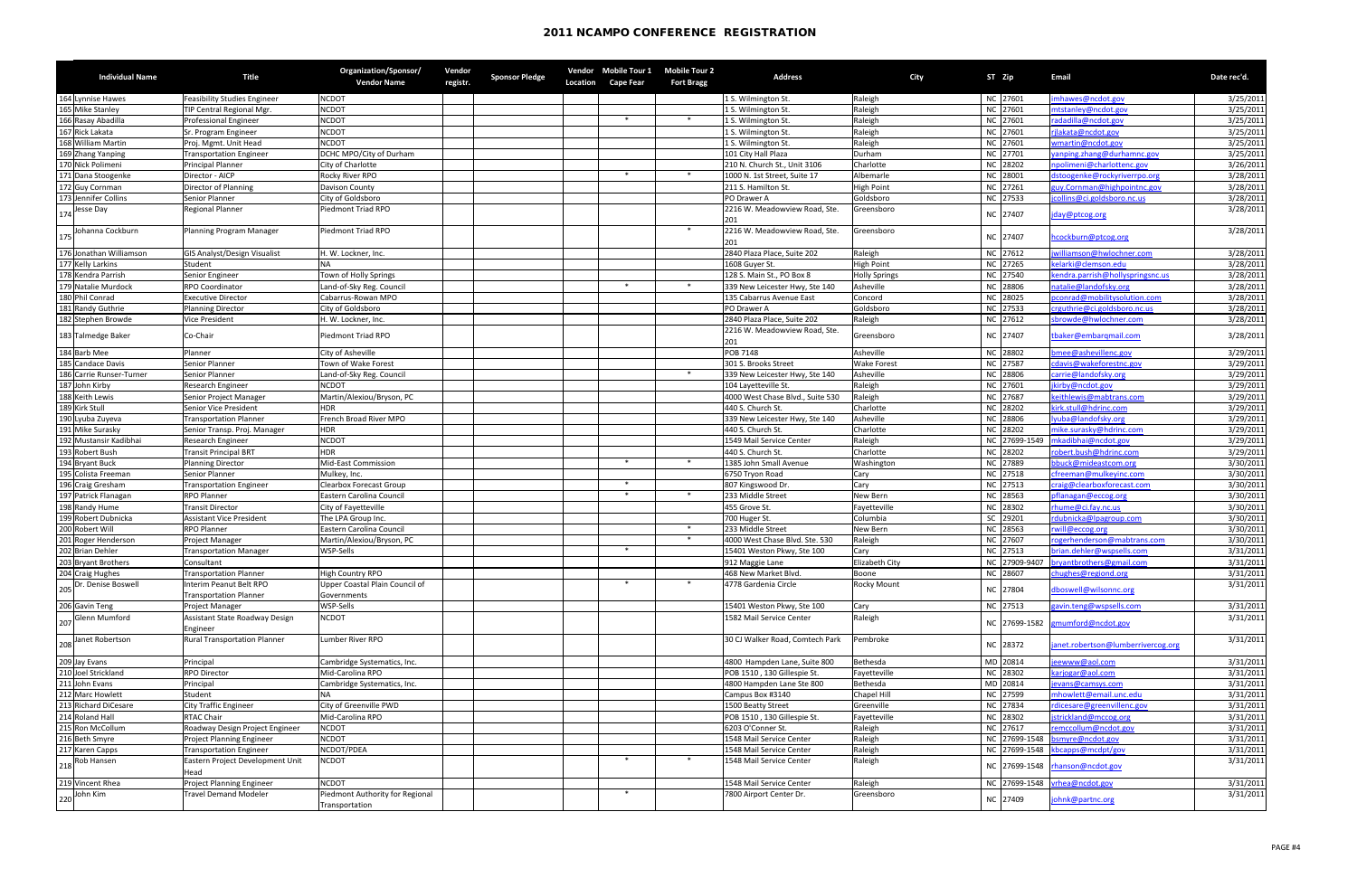|     | <b>Individual Name</b>   | <b>Title</b>                                             | Organization/Sponsor/<br><b>Vendor Name</b>   | Vendor<br>registr. | <b>Sponsor Pledge</b> | <b>Location</b> | <b>Cape Fear</b> | Vendor Mobile Tour 1 Mobile Tour 2<br><b>Fort Bragg</b> | <b>Address</b>                       | City                 | ST Zip        | <b>Email</b>                       | Date rec'd. |
|-----|--------------------------|----------------------------------------------------------|-----------------------------------------------|--------------------|-----------------------|-----------------|------------------|---------------------------------------------------------|--------------------------------------|----------------------|---------------|------------------------------------|-------------|
| 164 | Lynnise Hawes            | <b>Feasibility Studies Engineer</b>                      | <b>NCDOT</b>                                  |                    |                       |                 |                  |                                                         | 1 S. Wilmington St.                  | Raleigh              | NC 27601      | mhawes@ncdot.gov                   | 3/25/2011   |
|     | 165 Mike Stanley         | TIP Central Regional Mgr.                                | <b>NCDOT</b>                                  |                    |                       |                 |                  |                                                         | 1 S. Wilmington St.                  | Raleigh              | NC 27601      | ntstanley@ncdot.gov                | 3/25/2011   |
|     | 166 Rasay Abadilla       | Professional Engineer                                    | <b>NCDOT</b>                                  |                    |                       |                 | $\ast$           | $*$                                                     | 1 S. Wilmington St.                  | Raleigh              | NC 27601      | radadilla@ncdot.gov                | 3/25/2011   |
| 167 | <b>Rick Lakata</b>       | Sr. Program Engineer                                     | <b>NCDOT</b>                                  |                    |                       |                 |                  |                                                         | 1 S. Wilmington St.                  | Raleigh              | NC 27601      | jlakata@ncdot.gov                  | 3/25/2011   |
|     | 168 William Martin       | Proj. Mgmt. Unit Head                                    | <b>NCDOT</b>                                  |                    |                       |                 |                  |                                                         | 1 S. Wilmington St.                  | Raleigh              | NC 27601      | wmartin@ncdot.gov                  | 3/25/2011   |
|     | 169 Zhang Yanping        | <b>Transportation Engineer</b>                           | DCHC MPO/City of Durham                       |                    |                       |                 |                  |                                                         | 101 City Hall Plaza                  | Durham               | NC 27701      | yanping.zhang@durhamnc.gov         | 3/25/2011   |
|     | 170 Nick Polimeni        | <b>Principal Planner</b>                                 | City of Charlotte                             |                    |                       |                 |                  |                                                         | 210 N. Church St., Unit 3106         | Charlotte            | NC 28202      | npolimeni@charlottenc.gov          | 3/26/2011   |
|     | 171 Dana Stoogenke       | Director - AICP                                          | <b>Rocky River RPO</b>                        |                    |                       |                 | $\ast$           | $\ast$                                                  | 1000 N. 1st Street, Suite 17         | Albemarle            | NC 28001      | dstoogenke@rockyriverrpo.org       | 3/28/2011   |
|     | 172 Guy Cornman          | Director of Planning                                     | Davison County                                |                    |                       |                 |                  |                                                         | 211 S. Hamilton St.                  | <b>High Point</b>    | NC 27261      | zuy.Cornman@highpointnc.gov        | 3/28/2011   |
| 173 | Jennifer Collins         | <b>Senior Planner</b>                                    | City of Goldsboro                             |                    |                       |                 |                  |                                                         | PO Drawer A                          | Goldsboro            | NC 27533      | jcollins@ci.goldsboro.nc.us        | 3/28/2011   |
| 174 | Jesse Day                | <b>Regional Planner</b>                                  | Piedmont Triad RPO                            |                    |                       |                 |                  |                                                         | 2216 W. Meadowview Road, Ste.<br>201 | Greensboro           | NC 27407      | jday@ptcog.org                     | 3/28/2011   |
|     | Johanna Cockburn         | Planning Program Manager                                 | Piedmont Triad RPO                            |                    |                       |                 |                  | $\ast$                                                  | 2216 W. Meadowview Road, Ste.        | Greensboro           | NC 27407      | hcockburn@ptcog.org                | 3/28/2011   |
|     | 176 Jonathan Williamson  | <b>GIS Analyst/Design Visualist</b>                      | H. W. Lockner, Inc.                           |                    |                       |                 |                  |                                                         | 2840 Plaza Place, Suite 202          | Raleigh              | NC 27612      | williamson@hwlochner.com           | 3/28/2011   |
|     | 177 Kelly Larkins        | Student                                                  |                                               |                    |                       |                 |                  |                                                         | 1608 Guyer St.                       | <b>High Point</b>    | NC 27265      | kelarki@clemson.edu                | 3/28/2011   |
|     | 178 Kendra Parrish       | Senior Engineer                                          | Town of Holly Springs                         |                    |                       |                 |                  |                                                         | 128 S. Main St., PO Box 8            | <b>Holly Springs</b> | NC 27540      | cendra.parrish@hollyspringsnc.us   | 3/28/2011   |
|     | 179 Natalie Murdock      | <b>RPO Coordinator</b>                                   | Land-of-Sky Reg. Council                      |                    |                       |                 | $\ast$           | $*$                                                     | 339 New Leicester Hwy, Ste 140       | Asheville            | NC 28806      | natalie@landofsky.org              | 3/28/2011   |
|     | 180 Phil Conrad          | <b>Executive Director</b>                                | Cabarrus-Rowan MPO                            |                    |                       |                 |                  |                                                         | 135 Cabarrus Avenue East             | Concord              | NC 28025      | pconrad@mobilitysolution.com       | 3/28/2011   |
| 181 | Randy Guthrie            | <b>Planning Director</b>                                 | City of Goldsboro                             |                    |                       |                 |                  |                                                         | PO Drawer A                          | Goldsboro            | NC 27533      | crguthrie@ci.goldsboro.nc.us       | 3/28/2011   |
|     | 182 Stephen Browde       | <b>Vice President</b>                                    | H. W. Lockner, Inc.                           |                    |                       |                 |                  |                                                         | 2840 Plaza Place, Suite 202          | Raleigh              | NC 27612      | sbrowde@hwlochner.com              | 3/28/2011   |
|     | 183 Talmedge Baker       | Co-Chair                                                 | <b>Piedmont Triad RPO</b>                     |                    |                       |                 |                  |                                                         | 2216 W. Meadowview Road, Ste.<br>201 | Greensboro           | NC 27407      | tbaker@embarqmail.com              | 3/28/2011   |
|     | 184 Barb Mee             | Planner                                                  | City of Asheville                             |                    |                       |                 |                  |                                                         | <b>POB 7148</b>                      | Asheville            | NC 28802      | mee@ashevillenc.gov                | 3/29/2011   |
|     | 185 Candace Davis        | Senior Planner                                           | Town of Wake Forest                           |                    |                       |                 |                  |                                                         | 301 S. Brooks Street                 | <b>Wake Forest</b>   | NC 27587      | cdavis@wakeforestnc.gov            | 3/29/2011   |
|     | 186 Carrie Runser-Turner | Senior Planner                                           | Land-of-Sky Reg. Council                      |                    |                       |                 |                  | $\ast$                                                  | 339 New Leicester Hwy, Ste 140       | Asheville            | NC 28806      | carrie@landofsky.org               | 3/29/2011   |
|     | 187 John Kirby           | <b>Research Engineer</b>                                 | <b>NCDOT</b>                                  |                    |                       |                 |                  |                                                         | 104 Layetteville St.                 | Raleigh              | NC 27601      | jkirby@ncdot.gov                   | 3/29/2011   |
|     | 188 Keith Lewis          | Senior Project Manager                                   | Martin/Alexiou/Bryson, PC                     |                    |                       |                 |                  |                                                         | 4000 West Chase Blvd., Suite 530     | Raleigh              | NC 27687      | ceithlewis@mabtrans.com            | 3/29/2011   |
|     | 189 Kirk Stull           | Senior Vice President                                    | <b>HDR</b>                                    |                    |                       |                 |                  |                                                         | 440 S. Church St.                    | Charlotte            | NC 28202      | kirk.stull@hdrinc.com              | 3/29/2011   |
|     | 190 Lyuba Zuyeva         | <b>Transportation Planner</b>                            | French Broad River MPO                        |                    |                       |                 |                  |                                                         | 339 New Leicester Hwy, Ste 140       | Asheville            | NC 28806      | lyuba@landofsky.org                | 3/29/2011   |
| 191 | Mike Surasky             | Senior Transp. Proj. Manager                             | <b>HDR</b>                                    |                    |                       |                 |                  |                                                         | 440 S. Church St.                    | Charlotte            | NC 28202      | nike.surasky@hdrinc.com            | 3/29/2011   |
|     | 192 Mustansir Kadibhai   | Research Engineer                                        | <b>NCDOT</b>                                  |                    |                       |                 |                  |                                                         | 1549 Mail Service Center             | Raleigh              | NC 27699-1549 | mkadibhai@ncdot.gov                | 3/29/2011   |
|     | 193 Robert Bush          | <b>Transit Principal BRT</b>                             | <b>HDR</b>                                    |                    |                       |                 |                  |                                                         | 440 S. Church St.                    | Charlotte            | NC 28202      | obert.bush@hdrinc.com              | 3/29/2011   |
|     | 194 Bryant Buck          | <b>Planning Director</b>                                 | <b>Mid-East Commission</b>                    |                    |                       |                 | $\ast$           | $*$                                                     | 1385 John Small Avenue               | Washington           | NC 27889      | bbuck@mideastcom.org               | 3/30/2011   |
|     | 195 Colista Freeman      | Senior Planner                                           | Mulkey, Inc.                                  |                    |                       |                 |                  |                                                         | 6750 Tryon Road                      | Cary                 | NC 27518      | cfreeman@mulkeyinc.com             | 3/30/2011   |
|     | 196 Craig Gresham        | <b>Transportation Engineer</b>                           | <b>Clearbox Forecast Group</b>                |                    |                       |                 | $\ast$           |                                                         | 807 Kingswood Dr.                    | Cary                 | NC 27513      | craig@clearboxforecast.com         | 3/30/2011   |
|     | 197 Patrick Flanagan     | <b>RPO Planner</b>                                       | Eastern Carolina Council                      |                    |                       |                 | ∗                | $\ast$                                                  | 233 Middle Street                    | <b>New Bern</b>      | NC 28563      | oflanagan@eccog.org                | 3/30/2011   |
|     | 198 Randy Hume           | <b>Transit Director</b>                                  | City of Fayetteville                          |                    |                       |                 |                  |                                                         | 455 Grove St.                        | Fayetteville         | NC 28302      | hume@ci.fay.nc.us                  | 3/30/2011   |
|     | 199 Robert Dubnicka      | <b>Assistant Vice President</b>                          | The LPA Group Inc.                            |                    |                       |                 |                  |                                                         | 700 Huger St.                        | Columbia             | SC 29201      | rdubnicka@lpagroup.com             | 3/30/2011   |
|     | 200 Robert Will          | <b>RPO Planner</b>                                       | Eastern Carolina Council                      |                    |                       |                 |                  | $\ast$                                                  | 233 Middle Street                    | New Bern             | NC 28563      | will@eccog.org                     | 3/30/2011   |
|     | 201 Roger Henderson      | <b>Project Manager</b>                                   | Martin/Alexiou/Bryson, PC                     |                    |                       |                 |                  | $\ast$                                                  | 4000 West Chase Blvd. Ste. 530       | Raleigh              | NC 27607      | ogerhenderson@mabtrans.com         | 3/30/2011   |
|     | 202 Brian Dehler         | <b>Transportation Manager</b>                            | WSP-Sells                                     |                    |                       |                 | ∗                |                                                         | 15401 Weston Pkwy, Ste 100           | Cary                 | NC 27513      | brian.dehler@wspsells.com          | 3/31/2011   |
|     | 203 Bryant Brothers      | Consultant                                               |                                               |                    |                       |                 |                  |                                                         | 912 Maggie Lane                      | Elizabeth City       | NC 27909-9407 | bryantbrothers@gmail.com           | 3/31/2011   |
|     | 204 Craig Hughes         | <b>Transportation Planner</b>                            | <b>High Country RPO</b>                       |                    |                       |                 |                  |                                                         | 468 New Market Blvd.                 | Boone                | NC 28607      | chughes@regiond.org                | 3/31/2011   |
|     | Dr. Denise Boswell       | Interim Peanut Belt RPO<br><b>Transportation Planner</b> | Upper Coastal Plain Council of<br>Governments |                    |                       |                 | $\ast$           | $\ast$                                                  | 4778 Gardenia Circle                 | <b>Rocky Mount</b>   | NC 27804      | dboswell@wilsonnc.org              | 3/31/2011   |
|     | 206 Gavin Teng           | <b>Project Manager</b>                                   | WSP-Sells                                     |                    |                       |                 |                  |                                                         | 15401 Weston Pkwy, Ste 100           | Cary                 | NC 27513      | avin.teng@wspsells.com             | 3/31/2011   |
|     | <b>Glenn Mumford</b>     | Assistant State Roadway Design<br>Engineer               | <b>NCDOT</b>                                  |                    |                       |                 |                  |                                                         | 1582 Mail Service Center             | Raleigh              |               | NC 27699-1582 gmumford@ncdot.gov   | 3/31/2011   |
|     | Janet Robertson          | <b>Rural Transportation Planner</b>                      | Lumber River RPO                              |                    |                       |                 |                  |                                                         | 30 CJ Walker Road, Comtech Park      | Pembroke             | NC 28372      | janet.robertson@lumberrivercog.org | 3/31/2011   |
|     | 209 Jay Evans            | Principal                                                | Cambridge Systematics, Inc.                   |                    |                       |                 |                  |                                                         | 4800 Hampden Lane, Suite 800         | Bethesda             | MD 20814      | eewww@aol.com                      | 3/31/2011   |
|     | Joel Strickland          | <b>RPO Director</b>                                      | Mid-Carolina RPO                              |                    |                       |                 |                  |                                                         | POB 1510, 130 Gillespie St.          | Fayetteville         | NC 28302      | karjogar@aol.com                   | 3/31/2011   |
|     | John Evans               | Principal                                                | Cambridge Systematics, Inc.                   |                    |                       |                 |                  |                                                         | 4800 Hampden Lane Ste 800            | Bethesda             | MD 20814      | evans@camsys.com                   | 3/31/2011   |
|     | Marc Howlett             | Student                                                  |                                               |                    |                       |                 |                  |                                                         | Campus Box #3140                     | <b>Chapel Hill</b>   | NC 27599      | nhowlett@email.unc.edu             | 3/31/2011   |
|     | <b>Richard DiCesare</b>  | <b>City Traffic Engineer</b>                             | City of Greenville PWD                        |                    |                       |                 |                  |                                                         | 1500 Beatty Street                   | Greenville           | NC 27834      | dicesare@greenvillenc.gov          | 3/31/2011   |
|     | 214 Roland Hall          | <b>RTAC Chair</b>                                        | Mid-Carolina RPO                              |                    |                       |                 |                  |                                                         | POB 1510, 130 Gillespie St.          | Fayetteville         | NC 28302      | jstrickland@mccog.org              | 3/31/2011   |
|     | 215 Ron McCollum         | Roadway Design Project Engineer                          | <b>NCDOT</b>                                  |                    |                       |                 |                  |                                                         | 6203 O'Conner St.                    | Raleigh              | NC 27617      | emccollum@ncdot.gov                | 3/31/2011   |
|     | 216 Beth Smyre           | <b>Project Planning Engineer</b>                         | <b>NCDOT</b>                                  |                    |                       |                 |                  |                                                         | 1548 Mail Service Center             | Raleigh              |               | NC 27699-1548 bsmyre@ncdot.gov     | 3/31/2011   |
|     | 217 Karen Capps          | <b>Transportation Engineer</b>                           | NCDOT/PDEA                                    |                    |                       |                 |                  |                                                         | 1548 Mail Service Center             | Raleigh              |               | NC 27699-1548 kbcapps@mcdpt/gov    | 3/31/2011   |
| 218 | Rob Hansen               | Eastern Project Development Unit<br>Head                 | <b>NCDOT</b>                                  |                    |                       |                 |                  |                                                         | 1548 Mail Service Center             | Raleigh              |               | NC 27699-1548 rhanson@ncdot.gov    | 3/31/2011   |
|     | 219 Vincent Rhea         | <b>Project Planning Engineer</b>                         | <b>NCDOT</b>                                  |                    |                       |                 |                  |                                                         | 1548 Mail Service Center             | Raleigh              |               | NC 27699-1548 vrhea@ncdot.gov      | 3/31/2011   |
|     | John Kim                 | <b>Travel Demand Modeler</b>                             | Piedmont Authority for Regional               |                    |                       |                 | $\ast$           |                                                         | 7800 Airport Center Dr.              | Greensboro           |               |                                    | 3/31/2011   |
| 220 |                          |                                                          | Transportation                                |                    |                       |                 |                  |                                                         |                                      |                      | NC 27409      | johnk@partnc.org                   |             |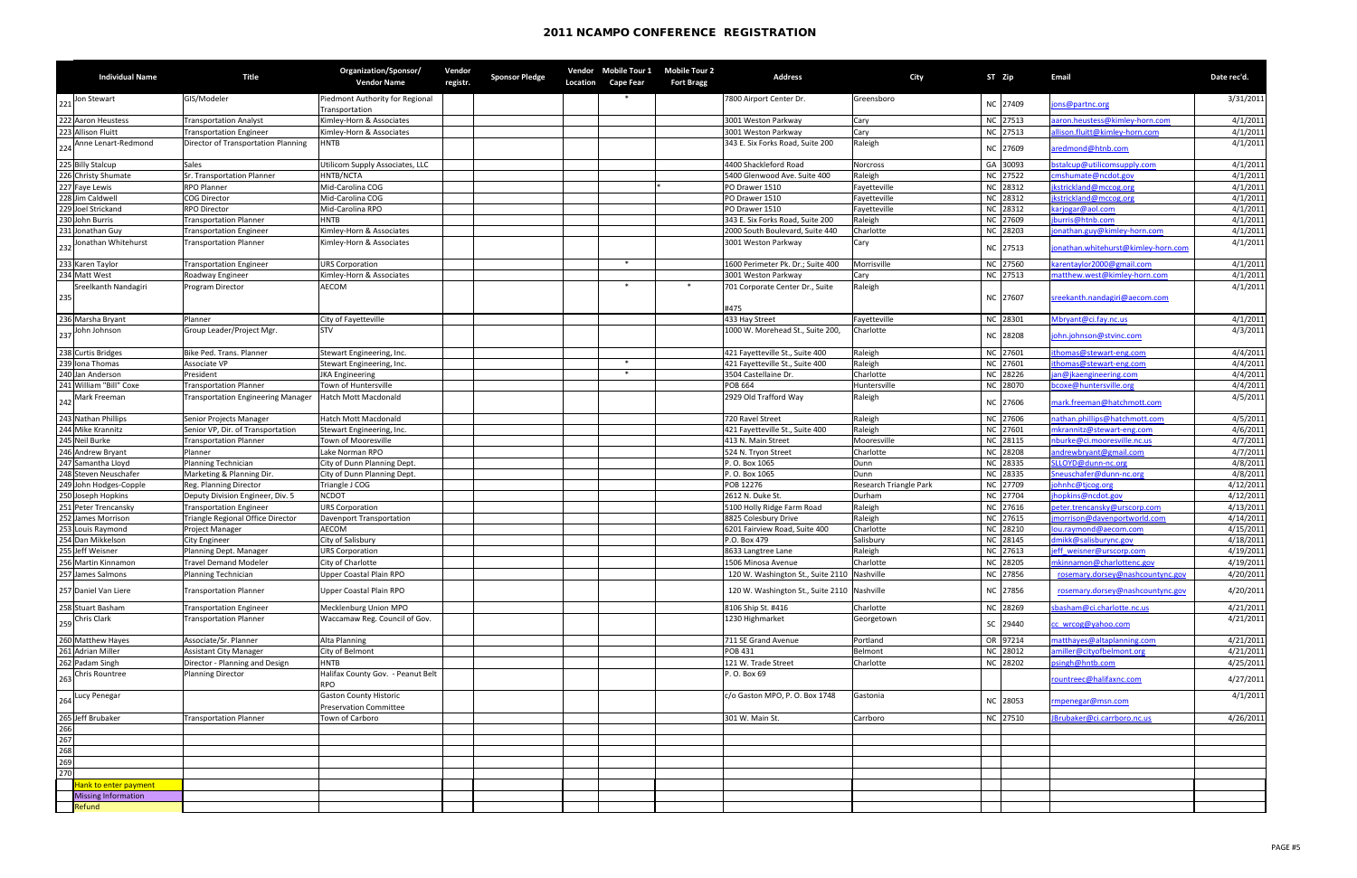|                                 | <b>Individual Name</b>                | <b>Title</b>                                         | Organization/Sponsor/<br><b>Vendor Name</b>                      | Vendor<br>registr. | <b>Sponsor Pledge</b> | Vendor<br><b>Location</b> | <b>Mobile Tour 1</b><br><b>Cape Fear</b> | Mobile Tour 2<br><b>Fort Bragg</b> | <b>Address</b>                                                                             | <b>City</b>            | ST Zip               | <b>Email</b>                                                         | Date rec'd.            |
|---------------------------------|---------------------------------------|------------------------------------------------------|------------------------------------------------------------------|--------------------|-----------------------|---------------------------|------------------------------------------|------------------------------------|--------------------------------------------------------------------------------------------|------------------------|----------------------|----------------------------------------------------------------------|------------------------|
| 221                             | Jon Stewart                           | GIS/Modeler                                          | Piedmont Authority for Regional<br>Transportation                |                    |                       |                           |                                          |                                    | 7800 Airport Center Dr.                                                                    | Greensboro             | NC 27409             | jons@partnc.org                                                      | 3/31/2011              |
|                                 | 222 Aaron Heustess                    | <b>Transportation Analyst</b>                        | Kimley-Horn & Associates                                         |                    |                       |                           |                                          |                                    | 3001 Weston Parkway                                                                        | Cary                   | NC 27513             | aron.heustess@kimley-horn.com                                        | 4/1/2011               |
|                                 | 223 Allison Fluitt                    | <b>Transportation Engineer</b>                       | Kimley-Horn & Associates                                         |                    |                       |                           |                                          |                                    | 3001 Weston Parkway                                                                        | Cary                   | NC 27513             | allison.fluitt@kimley-horn.com                                       | 4/1/2011               |
|                                 | Anne Lenart-Redmond                   | Director of Transportation Planning                  | <b>HNTB</b>                                                      |                    |                       |                           |                                          |                                    | 343 E. Six Forks Road, Suite 200                                                           | Raleigh                | NC 27609             | aredmond@htnb.com                                                    | 4/1/2011               |
|                                 | 225 Billy Stalcup                     | <b>Sales</b>                                         | Utilicom Supply Associates, LLC                                  |                    |                       |                           |                                          |                                    | 4400 Shackleford Road                                                                      | Norcross               | GA 30093             | bstalcup@utilicomsupply.com                                          | 4/1/2011               |
|                                 | 226 Christy Shumate                   | Sr. Transportation Planner                           | HNTB/NCTA                                                        |                    |                       |                           |                                          |                                    | 5400 Glenwood Ave. Suite 400                                                               | Raleigh                | NC 27522             | cmshumate@ncdot.gov                                                  | 4/1/2011               |
|                                 | 227 Faye Lewis                        | <b>RPO Planner</b>                                   | Mid-Carolina COG                                                 |                    |                       |                           |                                          |                                    | PO Drawer 1510                                                                             | Fayetteville           | NC 28312             | jkstrickland@mccog.org                                               | 4/1/2011               |
|                                 | 228 Jim Caldwell                      | <b>COG Director</b>                                  | Mid-Carolina COG                                                 |                    |                       |                           |                                          |                                    | PO Drawer 1510                                                                             | Fayetteville           | NC 28312             | jkstrickland@mccog.org                                               | 4/1/2011               |
|                                 | 229 Joel Strickand                    | <b>RPO Director</b>                                  | Mid-Carolina RPO                                                 |                    |                       |                           |                                          |                                    | PO Drawer 1510                                                                             | Fayetteville           | NC 28312             | carjogar@aol.com                                                     | 4/1/2011               |
|                                 | 230 John Burris                       | <b>Transportation Planner</b>                        | <b>HNTB</b>                                                      |                    |                       |                           |                                          |                                    | 343 E. Six Forks Road, Suite 200                                                           | Raleigh                | NC 27609             | ourris@htnb.com                                                      | 4/1/2011               |
|                                 | 231 Jonathan Guy                      | Transportation Engineer                              | Kimley-Horn & Associates                                         |                    |                       |                           |                                          |                                    | 2000 South Boulevard, Suite 440                                                            | Charlotte              | NC 28203             | onathan.guy@kimley-horn.com                                          | 4/1/2011               |
| 232                             | Jonathan Whitehurst                   | Transportation Planner                               | Kimley-Horn & Associates                                         |                    |                       |                           |                                          |                                    | 3001 Weston Parkway                                                                        | Cary                   | NC 27513             | onathan.whitehurst@kimley-horn.com                                   | 4/1/2011               |
|                                 | 233 Karen Taylor                      | Transportation Engineer                              | <b>URS Corporation</b>                                           |                    |                       |                           | $\ast$                                   |                                    | 1600 Perimeter Pk. Dr.; Suite 400                                                          | Morrisville            | NC 27560             | karentaylor 2000@gmail.com                                           | 4/1/2011               |
|                                 | 234 Matt West                         | Roadway Engineer                                     | Kimley-Horn & Associates                                         |                    |                       |                           |                                          |                                    | 3001 Weston Parkway                                                                        | Cary                   | NC 27513             | matthew.west@kimley-horn.com                                         | 4/1/2011               |
| 235                             | Sreelkanth Nandagiri                  | Program Director                                     | <b>AECOM</b>                                                     |                    |                       |                           | ∗                                        | $\ast$                             | 701 Corporate Center Dr., Suite                                                            | Raleigh                | NC 27607             | sreekanth.nandagiri@aecom.com                                        | 4/1/2011               |
|                                 |                                       |                                                      |                                                                  |                    |                       |                           |                                          |                                    | #475                                                                                       |                        |                      |                                                                      |                        |
|                                 | 236 Marsha Bryant                     | Planner                                              | City of Fayetteville                                             |                    |                       |                           |                                          |                                    | 433 Hay Street                                                                             | Fayetteville           | NC 28301             | Mbryant@ci.fay.nc.us                                                 | 4/1/2011               |
| 237                             | John Johnson                          | Group Leader/Project Mgr.                            | <b>STV</b>                                                       |                    |                       |                           |                                          |                                    | 1000 W. Morehead St., Suite 200,                                                           | Charlotte              | NC 28208             | john.johnson@stvinc.com                                              | 4/3/2011               |
|                                 | 238 Curtis Bridges                    | Bike Ped. Trans. Planner                             | Stewart Engineering, Inc.                                        |                    |                       |                           |                                          |                                    | 421 Fayetteville St., Suite 400                                                            | Raleigh                | NC 27601             | ithomas@stewart-eng.com                                              | 4/4/2011               |
|                                 | 239 Iona Thomas                       | Associate VP                                         | Stewart Engineering, Inc.                                        |                    |                       |                           | $\ast$                                   |                                    | 421 Fayetteville St., Suite 400                                                            | Raleigh                | NC 27601             | ithomas@stewart-eng.com                                              | 4/4/2011               |
|                                 | 240 Jan Anderson                      | President                                            | <b>JKA Engineering</b>                                           |                    |                       |                           |                                          |                                    | 3504 Castellaine Dr.                                                                       | Charlotte              | NC 28226             | an@jkaengineering.com                                                | 4/4/2011               |
|                                 | 241 William "Bill" Coxe               | Transportation Planner                               | Town of Huntersville                                             |                    |                       |                           |                                          |                                    | <b>POB 664</b>                                                                             | Huntersville           | NC 28070             | bcoxe@huntersville.org                                               | 4/4/2011               |
|                                 | 242 Mark Freeman                      | <b>Transportation Engineering Manager</b>            | <b>Hatch Mott Macdonald</b>                                      |                    |                       |                           |                                          |                                    | 2929 Old Trafford Way                                                                      | Raleigh                | NC 27606             | mark.freeman@hatchmott.com                                           | 4/5/2011               |
|                                 | 243 Nathan Phillips                   | Senior Projects Manager                              | Hatch Mott Macdonald                                             |                    |                       |                           |                                          |                                    | 720 Ravel Street                                                                           | Raleigh                | NC 27606             | nathan.phillips@hatchmott.com                                        | 4/5/2011               |
|                                 | 244 Mike Krannitz                     | Senior VP, Dir. of Transportation                    | Stewart Engineering, Inc.                                        |                    |                       |                           |                                          |                                    | 421 Fayetteville St., Suite 400                                                            | Raleigh                | NC 27601             | mkrannitz@stewart-eng.com                                            | 4/6/2011               |
|                                 | 245 Neil Burke                        | <b>Transportation Planner</b>                        | <b>Town of Mooresville</b>                                       |                    |                       |                           |                                          |                                    | 413 N. Main Street                                                                         | Mooresville            | NC 28115             | nburke@ci.mooresville.nc.us                                          | 4/7/2011               |
|                                 | 246 Andrew Bryant                     | Planner                                              | Lake Norman RPO                                                  |                    |                       |                           |                                          |                                    | 524 N. Tryon Street                                                                        | Charlotte              | NC 28208             | andrewbryant@gmail.com                                               | 4/7/2011               |
|                                 | 247 Samantha Lloyd                    | Planning Technician                                  | City of Dunn Planning Dept.                                      |                    |                       |                           |                                          |                                    | P.O. Box 1065                                                                              | Dunn                   | NC 28335             | SLLOYD@dunn-nc.org                                                   | 4/8/2011               |
|                                 | 248 Steven Neuschafer                 | Marketing & Planning Dir.                            | City of Dunn Planning Dept.                                      |                    |                       |                           |                                          |                                    | P. O. Box 1065                                                                             | Dunn                   | NC 28335             | Sneuschafer@dunn-nc.org                                              | 4/8/2011               |
|                                 | 249 John Hodges-Copple                | Reg. Planning Director                               | Triangle J COG                                                   |                    |                       |                           |                                          |                                    | POB 12276                                                                                  | Research Triangle Park | NC 27709             | ohnhc@tjcog.org                                                      | 4/12/2011              |
|                                 | 250 Joseph Hopkins                    | Deputy Division Engineer, Div. 5                     | <b>NCDOT</b>                                                     |                    |                       |                           |                                          |                                    | 2612 N. Duke St.                                                                           | Durham                 | NC 27704             | hopkins@ncdot.gov                                                    | 4/12/2011              |
| 251                             | Peter Trencansky                      | Transportation Engineer                              | <b>URS Corporation</b>                                           |                    |                       |                           |                                          |                                    | 5100 Holly Ridge Farm Road                                                                 | Raleigh                | NC 27616             | oeter.trencansky@urscorp.com                                         | 4/13/2011              |
| 252                             | James Morrison                        | Triangle Regional Office Director                    | <b>Davenport Transportation</b>                                  |                    |                       |                           |                                          |                                    | 8825 Colesbury Drive                                                                       | Raleigh                | NC 27615             | morrison@davenportworld.com                                          | 4/14/2011              |
| 253                             | Louis Raymond                         | Project Manager                                      | <b>AECOM</b>                                                     |                    |                       |                           |                                          |                                    | 6201 Fairview Road, Suite 400                                                              | Charlotte              | NC 28210             | ou.raymond@aecom.com                                                 | 4/15/2011              |
|                                 | 254 Dan Mikkelson                     | <b>City Engineer</b>                                 | City of Salisbury                                                |                    |                       |                           |                                          |                                    | P.O. Box 479                                                                               | Salisbury              | NC 28145             | Imikk@salisburync.gov                                                | 4/18/2011              |
|                                 | 255 Jeff Weisner                      | Planning Dept. Manager                               | <b>JRS Corporation</b>                                           |                    |                       |                           |                                          |                                    | 8633 Langtree Lane                                                                         | Raleigh                | NC 27613             | jeff weisner@urscorp.com                                             | 4/19/2011              |
|                                 | 256 Martin Kinnamon                   | <b>Travel Demand Modeler</b>                         | City of Charlotte                                                |                    |                       |                           |                                          |                                    | 1506 Minosa Avenue                                                                         | Charlotte              | NC 28205             | nkinnamon@charlottenc.gov                                            | 4/19/2011              |
| 257                             | James Salmons<br>257 Daniel Van Liere | Planning Technician<br><b>Transportation Planner</b> | <b>Upper Coastal Plain RPO</b><br><b>Upper Coastal Plain RPO</b> |                    |                       |                           |                                          |                                    | 120 W. Washington St., Suite 2110 Nashville<br>120 W. Washington St., Suite 2110 Nashville |                        | NC 27856<br>NC 27856 | rosemary.dorsey@nashcountync.gov<br>rosemary.dorsey@nashcountync.gov | 4/20/2011<br>4/20/2011 |
|                                 |                                       |                                                      |                                                                  |                    |                       |                           |                                          |                                    |                                                                                            |                        |                      |                                                                      |                        |
|                                 | 258 Stuart Basham                     | <b>Transportation Engineer</b>                       | Mecklenburg Union MPO                                            |                    |                       |                           |                                          |                                    | 8106 Ship St. #416                                                                         | Charlotte              | NC 28269             | sbasham@ci.charlotte.nc.us                                           | 4/21/2011              |
| 259                             | <b>Chris Clark</b>                    | <b>Transportation Planner</b>                        | Waccamaw Reg. Council of Gov.                                    |                    |                       |                           |                                          |                                    | 1230 Highmarket                                                                            | Georgetown             | SC 29440             | cc wrcog@yahoo.com                                                   | 4/21/2011              |
|                                 | 260 Matthew Hayes                     | Associate/Sr. Planner                                | Alta Planning                                                    |                    |                       |                           |                                          |                                    | 711 SE Grand Avenue                                                                        | Portland               | OR 97214             | matthayes@altaplanning.com                                           | 4/21/2011              |
|                                 | 261 Adrian Miller                     | <b>Assistant City Manager</b>                        | City of Belmont                                                  |                    |                       |                           |                                          |                                    | <b>POB 431</b>                                                                             | Belmont                | NC 28012             | amiller@cityofbelmont.org                                            | 4/21/2011              |
| 262                             | Padam Singh                           | Director - Planning and Design                       | <b>HNTB</b>                                                      |                    |                       |                           |                                          |                                    | 121 W. Trade Street                                                                        | Charlotte              | NC 28202             | osingh@hntb.com                                                      | 4/25/2011              |
| 263                             | Chris Rountree                        | <b>Planning Director</b>                             | Halifax County Gov. - Peanut Belt<br><b>RPO</b>                  |                    |                       |                           |                                          |                                    | P. O. Box 69                                                                               |                        |                      | rountreec@halifaxnc.com                                              | 4/27/2011              |
| 264                             | Lucy Penegar                          |                                                      | <b>Gaston County Historic</b><br><b>Preservation Committee</b>   |                    |                       |                           |                                          |                                    | c/o Gaston MPO, P. O. Box 1748                                                             | Gastonia               | NC 28053             | rmpenegar@msn.com                                                    | 4/1/2011               |
|                                 | 265 Jeff Brubaker                     | <b>Transportation Planner</b>                        | Town of Carboro                                                  |                    |                       |                           |                                          |                                    | 301 W. Main St.                                                                            | Carrboro               | NC 27510             | JBrubaker@ci.carrboro.nc.us                                          | 4/26/2011              |
|                                 |                                       |                                                      |                                                                  |                    |                       |                           |                                          |                                    |                                                                                            |                        |                      |                                                                      |                        |
| 266<br>267<br>268<br>270<br>270 |                                       |                                                      |                                                                  |                    |                       |                           |                                          |                                    |                                                                                            |                        |                      |                                                                      |                        |
|                                 |                                       |                                                      |                                                                  |                    |                       |                           |                                          |                                    |                                                                                            |                        |                      |                                                                      |                        |
|                                 |                                       |                                                      |                                                                  |                    |                       |                           |                                          |                                    |                                                                                            |                        |                      |                                                                      |                        |
|                                 |                                       |                                                      |                                                                  |                    |                       |                           |                                          |                                    |                                                                                            |                        |                      |                                                                      |                        |
|                                 | Hank to enter payment                 |                                                      |                                                                  |                    |                       |                           |                                          |                                    |                                                                                            |                        |                      |                                                                      |                        |
|                                 | <b>Missing Information</b>            |                                                      |                                                                  |                    |                       |                           |                                          |                                    |                                                                                            |                        |                      |                                                                      |                        |
|                                 | Refund                                |                                                      |                                                                  |                    |                       |                           |                                          |                                    |                                                                                            |                        |                      |                                                                      |                        |